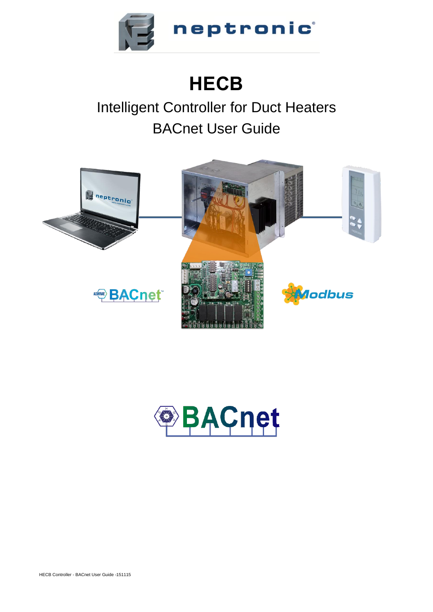

# **HECB**

# Intelligent Controller for Duct Heaters BACnet User Guide



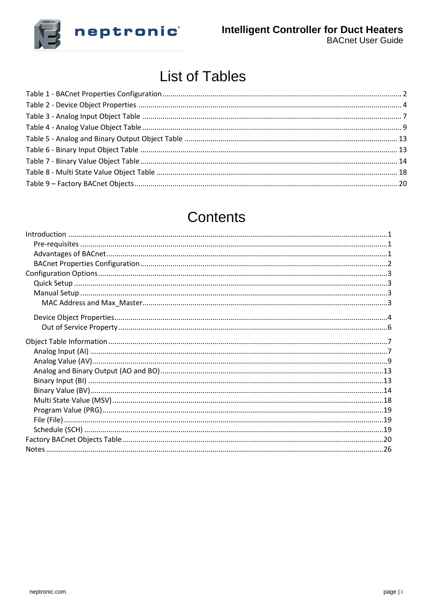

## **List of Tables**

## Contents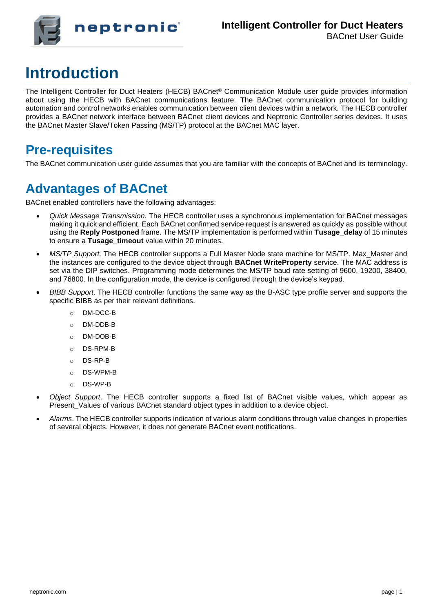

# **Introduction**

The Intelligent Controller for Duct Heaters (HECB) BACnet® Communication Module user guide provides information about using the HECB with BACnet communications feature. The BACnet communication protocol for building automation and control networks enables communication between client devices within a network. The HECB controller provides a BACnet network interface between BACnet client devices and Neptronic Controller series devices. It uses the BACnet Master Slave/Token Passing (MS/TP) protocol at the BACnet MAC layer.

#### **Pre-requisites**

The BACnet communication user guide assumes that you are familiar with the concepts of BACnet and its terminology.

### **Advantages of BACnet**

BACnet enabled controllers have the following advantages:

- *Quick Message Transmission.* The HECB controller uses a synchronous implementation for BACnet messages making it quick and efficient. Each BACnet confirmed service request is answered as quickly as possible without using the **Reply Postponed** frame. The MS/TP implementation is performed within **Tusage\_delay** of 15 minutes to ensure a Tusage timeout value within 20 minutes.
- *MS/TP Support.* The HECB controller supports a Full Master Node state machine for MS/TP. Max\_Master and the instances are configured to the device object through **BACnet WriteProperty** service. The MAC address is set via the DIP switches. Programming mode determines the MS/TP baud rate setting of 9600, 19200, 38400, and 76800. In the configuration mode, the device is configured through the device's keypad.
- *BIBB Support*. The HECB controller functions the same way as the B-ASC type profile server and supports the specific BIBB as per their relevant definitions.
	- o DM-DCC-B
	- o DM-DDB-B
	- o DM-DOB-B
	- o DS-RPM-B
	- o DS-RP-B
	- o DS-WPM-B
	- o DS-WP-B
- *Object Support*. The HECB controller supports a fixed list of BACnet visible values, which appear as Present\_Values of various BACnet standard object types in addition to a device object.
- *Alarms*. The HECB controller supports indication of various alarm conditions through value changes in properties of several objects. However, it does not generate BACnet event notifications.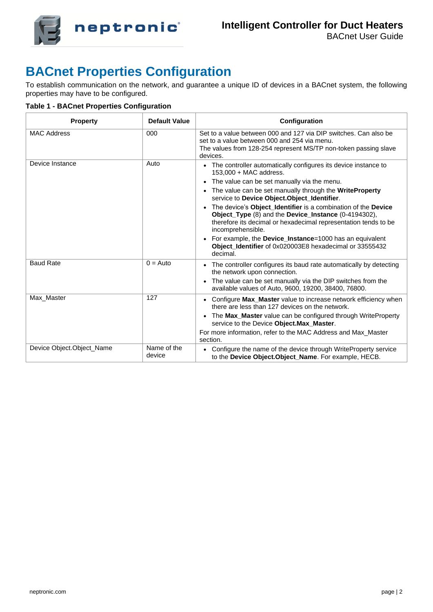

### **BACnet Properties Configuration**

To establish communication on the network, and guarantee a unique ID of devices in a BACnet system, the following properties may have to be configured.

**Table 1 - BACnet Properties Configuration**

| <b>Property</b>            | Default Value         | Configuration                                                                                                                                                                                                 |
|----------------------------|-----------------------|---------------------------------------------------------------------------------------------------------------------------------------------------------------------------------------------------------------|
| <b>MAC Address</b>         | 000                   | Set to a value between 000 and 127 via DIP switches. Can also be<br>set to a value between 000 and 254 via menu.<br>The values from 128-254 represent MS/TP non-token passing slave<br>devices.               |
| Device Instance            | Auto                  | • The controller automatically configures its device instance to<br>$153,000 + MAC$ address.                                                                                                                  |
|                            |                       | • The value can be set manually via the menu.                                                                                                                                                                 |
|                            |                       | The value can be set manually through the WriteProperty<br>service to Device Object.Object_Identifier.                                                                                                        |
|                            |                       | The device's Object_Identifier is a combination of the Device<br>Object_Type (8) and the Device_Instance (0-4194302),<br>therefore its decimal or hexadecimal representation tends to be<br>incomprehensible. |
|                            |                       | • For example, the Device_Instance=1000 has an equivalent<br>Object_Identifier of 0x020003E8 hexadecimal or 33555432<br>decimal.                                                                              |
| <b>Baud Rate</b>           | $0 = Auto$            | • The controller configures its baud rate automatically by detecting<br>the network upon connection.                                                                                                          |
|                            |                       | • The value can be set manually via the DIP switches from the<br>available values of Auto, 9600, 19200, 38400, 76800.                                                                                         |
| Max Master                 | 127                   | • Configure Max_Master value to increase network efficiency when<br>there are less than 127 devices on the network.                                                                                           |
|                            |                       | • The Max Master value can be configured through WriteProperty<br>service to the Device Object.Max_Master.                                                                                                    |
|                            |                       | For more information, refer to the MAC Address and Max Master<br>section.                                                                                                                                     |
| Device Object. Object Name | Name of the<br>device | Configure the name of the device through WriteProperty service<br>to the Device Object.Object_Name. For example, HECB.                                                                                        |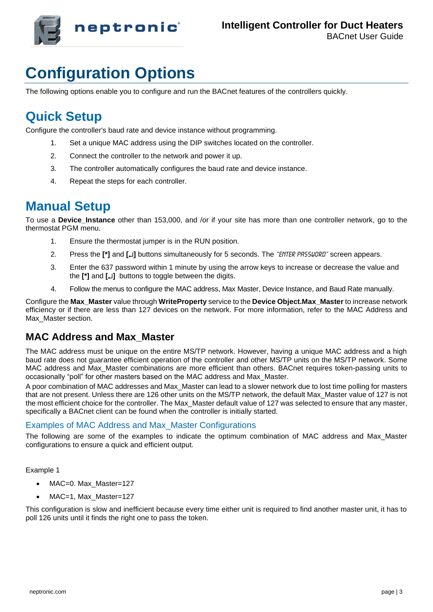

# **Configuration Options**

The following options enable you to configure and run the BACnet features of the controllers quickly.

### **Quick Setup**

Configure the controller's baud rate and device instance without programming.

- 1. Set a unique MAC address using the DIP switches located on the controller.
- 2. Connect the controller to the network and power it up.
- 3. The controller automatically configures the baud rate and device instance.
- 4. Repeat the steps for each controller.

#### **Manual Setup**

To use a **Device Instance** other than 153,000, and /or if your site has more than one controller network, go to the thermostat PGM menu.

- 1. Ensure the thermostat jumper is in the RUN position.
- 2. Press the **[\*]** and **[]** buttons simultaneously for 5 seconds. The "Enter Password" screen appears.
- 3. Enter the 637 password within 1 minute by using the arrow keys to increase or decrease the value and the **[\*]** and **[]** buttons to toggle between the digits.
- 4. Follow the menus to configure the MAC address, Max Master, Device Instance, and Baud Rate manually.

Configure the **Max\_Master** value through **WriteProperty** service to the **Device Object.Max\_Master** to increase network efficiency or if there are less than 127 devices on the network. For more information, refer to the MAC Address and Max Master section.

#### **MAC Address and Max\_Master**

The MAC address must be unique on the entire MS/TP network. However, having a unique MAC address and a high baud rate does not guarantee efficient operation of the controller and other MS/TP units on the MS/TP network. Some MAC address and Max\_Master combinations are more efficient than others. BACnet requires token-passing units to occasionally "poll" for other masters based on the MAC address and Max\_Master.

A poor combination of MAC addresses and Max\_Master can lead to a slower network due to lost time polling for masters that are not present. Unless there are 126 other units on the MS/TP network, the default Max\_Master value of 127 is not the most efficient choice for the controller. The Max\_Master default value of 127 was selected to ensure that any master, specifically a BACnet client can be found when the controller is initially started.

#### Examples of MAC Address and Max\_Master Configurations

The following are some of the examples to indicate the optimum combination of MAC address and Max\_Master configurations to ensure a quick and efficient output.

Example 1

- MAC=0. Max Master=127
- MAC=1, Max\_Master=127

This configuration is slow and inefficient because every time either unit is required to find another master unit, it has to poll 126 units until it finds the right one to pass the token.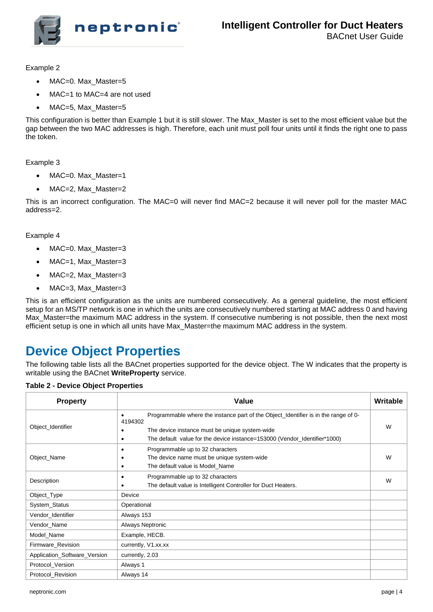

Example 2

- MAC=0. Max\_Master=5
- MAC=1 to MAC=4 are not used
- MAC=5, Max Master=5

This configuration is better than Example 1 but it is still slower. The Max\_Master is set to the most efficient value but the gap between the two MAC addresses is high. Therefore, each unit must poll four units until it finds the right one to pass the token.

Example 3

- MAC=0. Max\_Master=1
- MAC=2, Max Master=2

This is an incorrect configuration. The MAC=0 will never find MAC=2 because it will never poll for the master MAC address=2.

#### Example 4

- MAC=0. Max Master=3
- MAC=1, Max\_Master=3
- MAC=2, Max Master=3
- MAC=3, Max\_Master=3

This is an efficient configuration as the units are numbered consecutively. As a general guideline, the most efficient setup for an MS/TP network is one in which the units are consecutively numbered starting at MAC address 0 and having Max\_Master=the maximum MAC address in the system. If consecutive numbering is not possible, then the next most efficient setup is one in which all units have Max\_Master=the maximum MAC address in the system.

### **Device Object Properties**

The following table lists all the BACnet properties supported for the device object. The W indicates that the property is writable using the BACnet **WriteProperty** service.

#### **Table 2 - Device Object Properties**

| <b>Property</b>              | Value                                                                                                                                                                                                                                                | <b>Writable</b> |
|------------------------------|------------------------------------------------------------------------------------------------------------------------------------------------------------------------------------------------------------------------------------------------------|-----------------|
| Object_Identifier            | Programmable where the instance part of the Object_Identifier is in the range of 0-<br>$\bullet$<br>4194302<br>The device instance must be unique system-wide<br>٠<br>The default value for the device instance=153000 (Vendor_Identifier*1000)<br>٠ | W               |
| Object_Name                  | Programmable up to 32 characters<br>٠<br>The device name must be unique system-wide<br>The default value is Model Name<br>٠                                                                                                                          | W               |
| Description                  | Programmable up to 32 characters<br>٠<br>The default value is Intelligent Controller for Duct Heaters.<br>٠                                                                                                                                          | W               |
| Object_Type                  | Device                                                                                                                                                                                                                                               |                 |
| System_Status                | Operational                                                                                                                                                                                                                                          |                 |
| Vendor_Identifier            | Always 153                                                                                                                                                                                                                                           |                 |
| Vendor_Name                  | Always Neptronic                                                                                                                                                                                                                                     |                 |
| Model_Name                   | Example, HECB.                                                                                                                                                                                                                                       |                 |
| Firmware_Revision            | currently, V1.xx.xx                                                                                                                                                                                                                                  |                 |
| Application_Software_Version | currently, 2.03                                                                                                                                                                                                                                      |                 |
| Protocol_Version             | Always 1                                                                                                                                                                                                                                             |                 |
| Protocol_Revision            | Always 14                                                                                                                                                                                                                                            |                 |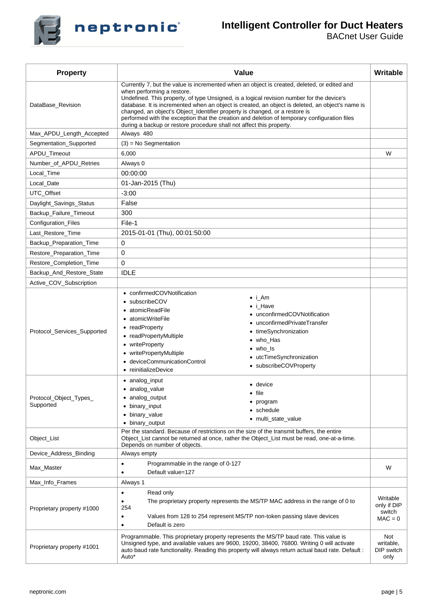

#### **Intelligent Controller for Duct Heaters**

| <b>Property</b>                     | Value                                                                                                                                                                                                                                                                                                                                                                                                                                                                                                                                                                             | Writable                                       |  |  |  |  |  |
|-------------------------------------|-----------------------------------------------------------------------------------------------------------------------------------------------------------------------------------------------------------------------------------------------------------------------------------------------------------------------------------------------------------------------------------------------------------------------------------------------------------------------------------------------------------------------------------------------------------------------------------|------------------------------------------------|--|--|--|--|--|
| DataBase Revision                   | Currently 7, but the value is incremented when an object is created, deleted, or edited and<br>when performing a restore.<br>Undefined. This property, of type Unsigned, is a logical revision number for the device's<br>database. It is incremented when an object is created, an object is deleted, an object's name is<br>changed, an object's Object_Identifier property is changed, or a restore is<br>performed with the exception that the creation and deletion of temporary configuration files<br>during a backup or restore procedure shall not affect this property. |                                                |  |  |  |  |  |
| Max_APDU_Length_Accepted            | Always 480                                                                                                                                                                                                                                                                                                                                                                                                                                                                                                                                                                        |                                                |  |  |  |  |  |
| Segmentation_Supported              | $(3)$ = No Segmentation                                                                                                                                                                                                                                                                                                                                                                                                                                                                                                                                                           |                                                |  |  |  |  |  |
| APDU_Timeout                        | 6,000                                                                                                                                                                                                                                                                                                                                                                                                                                                                                                                                                                             | W                                              |  |  |  |  |  |
| Number_of_APDU_Retries              | Always 0                                                                                                                                                                                                                                                                                                                                                                                                                                                                                                                                                                          |                                                |  |  |  |  |  |
| Local_Time                          | 00:00:00                                                                                                                                                                                                                                                                                                                                                                                                                                                                                                                                                                          |                                                |  |  |  |  |  |
| Local_Date                          | 01-Jan-2015 (Thu)                                                                                                                                                                                                                                                                                                                                                                                                                                                                                                                                                                 |                                                |  |  |  |  |  |
| UTC_Offset                          | $-3:00$                                                                                                                                                                                                                                                                                                                                                                                                                                                                                                                                                                           |                                                |  |  |  |  |  |
| Daylight_Savings_Status             | False                                                                                                                                                                                                                                                                                                                                                                                                                                                                                                                                                                             |                                                |  |  |  |  |  |
| Backup Failure Timeout              | 300                                                                                                                                                                                                                                                                                                                                                                                                                                                                                                                                                                               |                                                |  |  |  |  |  |
| Configuration_Files                 | File-1                                                                                                                                                                                                                                                                                                                                                                                                                                                                                                                                                                            |                                                |  |  |  |  |  |
| Last_Restore_Time                   | 2015-01-01 (Thu), 00:01:50:00                                                                                                                                                                                                                                                                                                                                                                                                                                                                                                                                                     |                                                |  |  |  |  |  |
| Backup_Preparation_Time             | 0                                                                                                                                                                                                                                                                                                                                                                                                                                                                                                                                                                                 |                                                |  |  |  |  |  |
| Restore_Preparation_Time            |                                                                                                                                                                                                                                                                                                                                                                                                                                                                                                                                                                                   |                                                |  |  |  |  |  |
| Restore_Completion_Time             | 0                                                                                                                                                                                                                                                                                                                                                                                                                                                                                                                                                                                 |                                                |  |  |  |  |  |
| Backup_And_Restore_State            | <b>IDLE</b>                                                                                                                                                                                                                                                                                                                                                                                                                                                                                                                                                                       |                                                |  |  |  |  |  |
| Active_COV_Subscription             |                                                                                                                                                                                                                                                                                                                                                                                                                                                                                                                                                                                   |                                                |  |  |  |  |  |
| Protocol_Services_Supported         | • confirmedCOVNotification<br>• i_Am<br>• subscribeCOV<br>$\bullet$ i Have<br>• atomicReadFile<br>• unconfirmedCOVNotification<br>• atomicWriteFile<br>• unconfirmedPrivateTransfer<br>• readProperty<br>• timeSynchronization<br>• readPropertyMultiple<br>• who_Has<br>• writeProperty<br>$\bullet$ who Is<br>• writePropertyMultiple<br>• utcTimeSynchronization<br>· deviceCommunicationControl<br>• subscribeCOVProperty<br>• reinitializeDevice                                                                                                                             |                                                |  |  |  |  |  |
| Protocol_Object_Types_<br>Supported | • analog_input<br>• device<br>• analog_value<br>$\bullet$ file<br>• analog_output<br>• program<br>binary_input<br>• schedule<br>binary_value<br>$\bullet$<br>• multi_state_value<br>• binary_output                                                                                                                                                                                                                                                                                                                                                                               |                                                |  |  |  |  |  |
| Object_List                         | Per the standard. Because of restrictions on the size of the transmit buffers, the entire<br>Object List cannot be returned at once, rather the Object List must be read, one-at-a-time.<br>Depends on number of objects.                                                                                                                                                                                                                                                                                                                                                         |                                                |  |  |  |  |  |
| Device_Address_Binding              | Always empty                                                                                                                                                                                                                                                                                                                                                                                                                                                                                                                                                                      |                                                |  |  |  |  |  |
| Max_Master                          | Programmable in the range of 0-127<br>٠<br>Default value=127<br>٠                                                                                                                                                                                                                                                                                                                                                                                                                                                                                                                 | W                                              |  |  |  |  |  |
| Max_Info_Frames                     | Always 1                                                                                                                                                                                                                                                                                                                                                                                                                                                                                                                                                                          |                                                |  |  |  |  |  |
| Proprietary property #1000          | Read only<br>$\bullet$<br>The proprietary property represents the MS/TP MAC address in the range of 0 to<br>$\bullet$<br>254<br>Values from 128 to 254 represent MS/TP non-token passing slave devices<br>٠<br>Default is zero<br>٠                                                                                                                                                                                                                                                                                                                                               | Writable<br>only if DIP<br>switch<br>$MAC = 0$ |  |  |  |  |  |
| Proprietary property #1001          | Programmable. This proprietary property represents the MS/TP baud rate. This value is<br>Unsigned type, and available values are 9600, 19200, 38400, 76800. Writing 0 will activate<br>auto baud rate functionality. Reading this property will always return actual baud rate. Default :<br>Auto*                                                                                                                                                                                                                                                                                | Not<br>writable,<br>DIP switch<br>only         |  |  |  |  |  |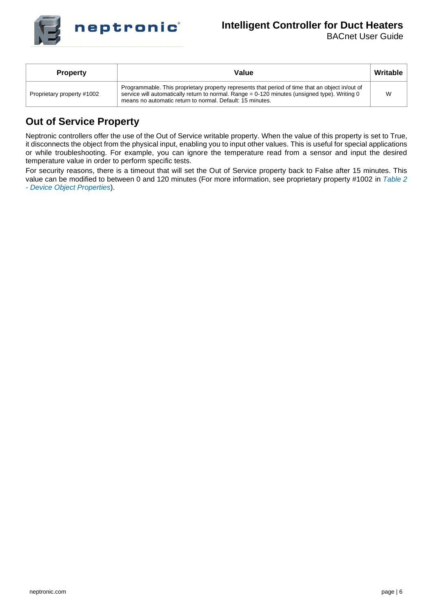

#### **Intelligent Controller for Duct Heaters**

BACnet User Guide

| Writable<br>Value<br><b>Property</b> |                                                                                                                                                                                                                                                               |  |  |  |  |  |
|--------------------------------------|---------------------------------------------------------------------------------------------------------------------------------------------------------------------------------------------------------------------------------------------------------------|--|--|--|--|--|
| Proprietary property #1002           | Programmable. This proprietary property represents that period of time that an object in/out of<br>service will automatically return to normal. Range = 0-120 minutes (unsigned type). Writing 0<br>means no automatic return to normal. Default: 15 minutes. |  |  |  |  |  |

#### **Out of Service Property**

Neptronic controllers offer the use of the Out of Service writable property. When the value of this property is set to True, it disconnects the object from the physical input, enabling you to input other values. This is useful for special applications or while troubleshooting. For example, you can ignore the temperature read from a sensor and input the desired temperature value in order to perform specific tests.

For security reasons, there is a timeout that will set the Out of Service property back to False after 15 minutes. This value can be modified to between 0 and 120 minutes (For more information, see proprietary property #1002 in *Table 2 - Device Object Properties*).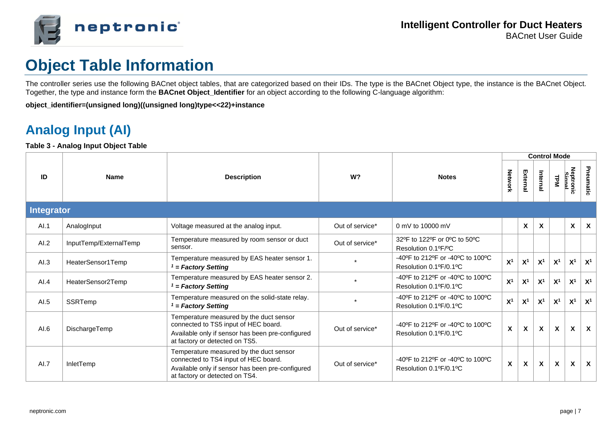

# **Object Table Information**

The controller series use the following BACnet object tables, that are categorized based on their IDs. The type is the BACnet Object type, the instance is the BACnet Object. Together, the type and instance form the **BACnet Object\_Identifier** for an object according to the following C-language algorithm:

**object\_identifier=(unsigned long)((unsigned long)type<<22)+instance**

## **Analog Input (AI)**

**Table 3 - Analog Input Object Table**

|      |                        |                                                                                                                                                                       |                 |                                                                                                      | <b>Control Mode</b> |                |                           |                           |                           |                           |  |
|------|------------------------|-----------------------------------------------------------------------------------------------------------------------------------------------------------------------|-----------------|------------------------------------------------------------------------------------------------------|---------------------|----------------|---------------------------|---------------------------|---------------------------|---------------------------|--|
| ID   | <b>Name</b>            | <b>Description</b>                                                                                                                                                    | W <sup>2</sup>  | <b>Notes</b>                                                                                         | <b>Network</b>      | External       | Internal                  | <b>LPM</b>                | Neptronic<br>Signal       | Pneumatic                 |  |
|      | <b>Integrator</b>      |                                                                                                                                                                       |                 |                                                                                                      |                     |                |                           |                           |                           |                           |  |
| AI.1 | AnalogInput            | Voltage measured at the analog input.                                                                                                                                 | Out of service* | 0 mV to 10000 mV                                                                                     |                     | X              | $\mathsf{x}$              |                           | X                         | $\boldsymbol{\mathsf{x}}$ |  |
| AI.2 | InputTemp/ExternalTemp | Temperature measured by room sensor or duct<br>sensor.                                                                                                                | Out of service* | 32°F to 122°F or 0°C to 50°C<br>Resolution 0.1ºF/ºC                                                  |                     |                |                           |                           |                           |                           |  |
| AI.3 | HeaterSensor1Temp      | Temperature measured by EAS heater sensor 1.<br>$1 = Factory$ Setting                                                                                                 |                 | -40°F to 212°F or -40°C to 100°C<br>Resolution 0.1ºF/0.1ºC                                           | X <sup>1</sup>      | X <sup>1</sup> | X <sup>1</sup>            | X <sup>1</sup>            | X <sup>1</sup>            | X <sup>1</sup>            |  |
| AI.4 | HeaterSensor2Temp      | Temperature measured by EAS heater sensor 2.<br>$1$ = Factory Setting                                                                                                 |                 | $-40^{\circ}$ F to 212 $^{\circ}$ F or $-40^{\circ}$ C to 100 $^{\circ}$ C<br>Resolution 0.1ºF/0.1ºC | X <sup>1</sup>      | X <sup>1</sup> | X <sup>1</sup>            | X <sup>1</sup>            | X <sup>1</sup>            | X <sup>1</sup>            |  |
| AI.5 | SSRTemp                | Temperature measured on the solid-state relay.<br>$'$ = Factory Setting                                                                                               |                 | $-40^{\circ}$ F to 212 $^{\circ}$ F or $-40^{\circ}$ C to 100 $^{\circ}$ C<br>Resolution 0.1ºF/0.1ºC | X <sup>1</sup>      | X <sup>1</sup> | X <sup>1</sup>            | X <sup>1</sup>            | X <sup>1</sup>            | X <sup>1</sup>            |  |
| AI.6 | DischargeTemp          | Temperature measured by the duct sensor<br>connected to TS5 input of HEC board.<br>Available only if sensor has been pre-configured<br>at factory or detected on TS5. | Out of service* | -40°F to 212°F or -40°C to 100°C<br>Resolution 0.1ºF/0.1ºC                                           | $\pmb{\mathsf{X}}$  | X              | X                         | $\mathsf{x}$              | $\boldsymbol{\mathsf{x}}$ | $\mathsf{x}$              |  |
| AI.7 | InletTemp              | Temperature measured by the duct sensor<br>connected to TS4 input of HEC board.<br>Available only if sensor has been pre-configured<br>at factory or detected on TS4. | Out of service* | -40°F to 212°F or -40°C to 100°C<br>Resolution 0.1ºF/0.1ºC                                           | $\pmb{\mathsf{X}}$  | X              | $\boldsymbol{\mathsf{X}}$ | $\boldsymbol{\mathsf{x}}$ | X                         | $\boldsymbol{\mathsf{x}}$ |  |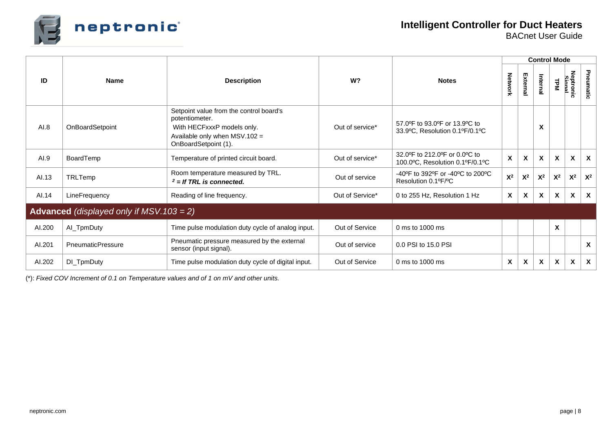

|        |                                                 |                                                                                                                                                    |                 |                                                                  | <b>Control Mode</b>       |                           |                |                           |                    |                           |  |  |
|--------|-------------------------------------------------|----------------------------------------------------------------------------------------------------------------------------------------------------|-----------------|------------------------------------------------------------------|---------------------------|---------------------------|----------------|---------------------------|--------------------|---------------------------|--|--|
| ID     | <b>Name</b>                                     | <b>Description</b>                                                                                                                                 | W?              | <b>Notes</b>                                                     | Network                   | External                  | Internal       | <b>TPM</b>                | Neptronic<br>Simal | Pneumatic                 |  |  |
| AI.8   | OnBoardSetpoint                                 | Setpoint value from the control board's<br>potentiometer.<br>With HECFxxxP models only.<br>Available only when $MSV.102 =$<br>OnBoardSetpoint (1). | Out of service* | 57.0°F to 93.0°F or 13.9°C to<br>33.9°C, Resolution 0.1°F/0.1°C  |                           |                           | X              |                           |                    |                           |  |  |
| AI.9   | BoardTemp                                       | Temperature of printed circuit board.                                                                                                              | Out of service* | 32.0°F to 212.0°F or 0.0°C to<br>100.0°C, Resolution 0.1°F/0.1°C | $\pmb{\chi}$              | X                         | X              | $\boldsymbol{\mathsf{x}}$ | X                  | $\boldsymbol{\mathsf{x}}$ |  |  |
| AI.13  | TRLTemp                                         | Room temperature measured by TRL.<br>$2 =$ If TRL is connected.                                                                                    | Out of service  | -40°F to 392°F or -40°C to 200°C<br>Resolution 0.1ºF/ºC          | $X^2$                     | $\mathsf{X}^2$            | $\mathsf{X}^2$ | $\mathsf{X}^2$            | $X^2$              | $X^2$                     |  |  |
| AI.14  | LineFrequency                                   | Reading of line frequency.                                                                                                                         | Out of Service* | 0 to 255 Hz, Resolution 1 Hz                                     | $\boldsymbol{\mathsf{X}}$ | X                         | X              | X                         | X                  | $\boldsymbol{\mathsf{x}}$ |  |  |
|        | <b>Advanced</b> (displayed only if MSV.103 = 2) |                                                                                                                                                    |                 |                                                                  |                           |                           |                |                           |                    |                           |  |  |
| AI.200 | Al_TpmDuty                                      | Time pulse modulation duty cycle of analog input.                                                                                                  | Out of Service  | 0 ms to 1000 ms                                                  |                           |                           |                | $\boldsymbol{\mathsf{x}}$ |                    |                           |  |  |
| AI.201 | <b>PneumaticPressure</b>                        | Pneumatic pressure measured by the external<br>sensor (input signal).                                                                              | Out of service  | 0.0 PSI to 15.0 PSI                                              |                           |                           |                |                           |                    | X                         |  |  |
| AI.202 | DI_TpmDuty                                      | Time pulse modulation duty cycle of digital input.                                                                                                 | Out of Service  | 0 ms to 1000 ms                                                  | X                         | $\boldsymbol{\mathsf{x}}$ | X              | $\boldsymbol{\mathsf{x}}$ | X                  | X                         |  |  |

(\*): *Fixed COV Increment of 0.1 on Temperature values and of 1 on mV and other units.*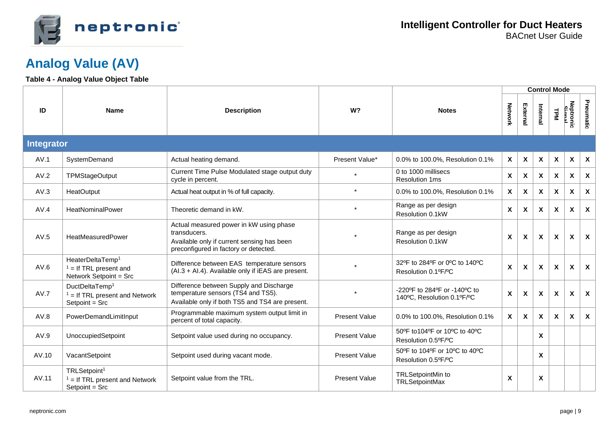

### **Analog Value (AV)**

#### **Table 4 - Analog Value Object Table**

|                   |                                                                                    |                                                                                                                                                |                      |                                                            |                           |                           | <b>Control Mode</b> |                           |                           |                           |
|-------------------|------------------------------------------------------------------------------------|------------------------------------------------------------------------------------------------------------------------------------------------|----------------------|------------------------------------------------------------|---------------------------|---------------------------|---------------------|---------------------------|---------------------------|---------------------------|
| ID                | <b>Name</b>                                                                        | <b>Description</b>                                                                                                                             | W?                   | <b>Notes</b>                                               | Network                   | External                  | Internal            | <b>LPM</b>                | Neptronic<br>Simal        | Pneumatic                 |
| <b>Integrator</b> |                                                                                    |                                                                                                                                                |                      |                                                            |                           |                           |                     |                           |                           |                           |
| AV.1              | SystemDemand                                                                       | Actual heating demand.                                                                                                                         | Present Value*       | 0.0% to 100.0%, Resolution 0.1%                            | X                         | $\mathsf{x}$              | $\mathsf{x}$        | $\mathbf{x}$              | $\boldsymbol{\mathsf{x}}$ | $\boldsymbol{\mathsf{X}}$ |
| AV.2              | <b>TPMStageOutput</b>                                                              | Current Time Pulse Modulated stage output duty<br>cycle in percent.                                                                            |                      | 0 to 1000 millisecs<br><b>Resolution 1ms</b>               | X                         | X                         | $\mathsf{x}$        | $\mathsf{x}$              | X                         | $\boldsymbol{\mathsf{X}}$ |
| AV.3              | HeatOutput                                                                         | Actual heat output in % of full capacity.                                                                                                      | $\star$              | 0.0% to 100.0%, Resolution 0.1%                            | X                         | $\boldsymbol{\mathsf{x}}$ | X                   | $\mathsf{x}$              | $\mathbf{x}$              | $\boldsymbol{\mathsf{x}}$ |
| AV.4              | HeatNominalPower                                                                   | Theoretic demand in kW.                                                                                                                        | $\star$              | Range as per design<br>Resolution 0.1kW                    | X                         | X                         | $\mathsf{x}$        | $\mathsf{x}$              | $\mathbf{x}$              | $\boldsymbol{\mathsf{X}}$ |
| AV.5              | HeatMeasuredPower                                                                  | Actual measured power in kW using phase<br>transducers.<br>Available only if current sensing has been<br>preconfigured in factory or detected. |                      | Range as per design<br>Resolution 0.1kW                    | X                         | $\boldsymbol{\mathsf{x}}$ | $\mathsf{x}$        | $\mathbf{x}$              | $\mathbf{x}$              | $\boldsymbol{\mathsf{x}}$ |
| AV.6              | HeaterDeltaTemp <sup>1</sup><br>$1 =$ If TRL present and<br>Network Setpoint = Src | Difference between EAS temperature sensors<br>(Al.3 + Al.4). Available only if iEAS are present.                                               |                      | 32°F to 284°F or 0°C to 140°C<br>Resolution 0.1ºF/ºC       | $\boldsymbol{\mathsf{x}}$ | X                         | $\mathbf{x}$        | $\mathsf{x}$              | X                         | $\boldsymbol{\mathsf{x}}$ |
| AV.7              | DuctDeltaTemp <sup>1</sup><br>$1 =$ If TRL present and Network<br>$Setpoint = Src$ | Difference between Supply and Discharge<br>temperature sensors (TS4 and TS5).<br>Available only if both TS5 and TS4 are present.               |                      | -220°F to 284°F or -140°C to<br>140°C, Resolution 0.1°F/°C | $\pmb{\chi}$              | X                         | $\mathsf{x}$        | $\boldsymbol{\mathsf{x}}$ | X                         | $\boldsymbol{\mathsf{X}}$ |
| AV.8              | PowerDemandLimitInput                                                              | Programmable maximum system output limit in<br>percent of total capacity.                                                                      | <b>Present Value</b> | 0.0% to 100.0%, Resolution 0.1%                            | X                         | X                         | X                   | X                         | $\mathbf{x}$              | $\boldsymbol{\mathsf{x}}$ |
| AV.9              | UnoccupiedSetpoint                                                                 | Setpoint value used during no occupancy.                                                                                                       | <b>Present Value</b> | 50°F to 104°F or 10°C to 40°C<br>Resolution 0.5°F/°C       |                           |                           | X                   |                           |                           |                           |
| AV.10             | VacantSetpoint                                                                     | Setpoint used during vacant mode.                                                                                                              | <b>Present Value</b> | 50°F to 104°F or 10°C to 40°C<br>Resolution 0.5°F/°C       |                           |                           | $\mathsf{x}$        |                           |                           |                           |
| AV.11             | TRLSetpoint <sup>1</sup><br>$1 =$ If TRL present and Network<br>$Setpoint = Src$   | Setpoint value from the TRL.                                                                                                                   | <b>Present Value</b> | <b>TRLSetpointMin to</b><br><b>TRLSetpointMax</b>          | X                         |                           | X                   |                           |                           |                           |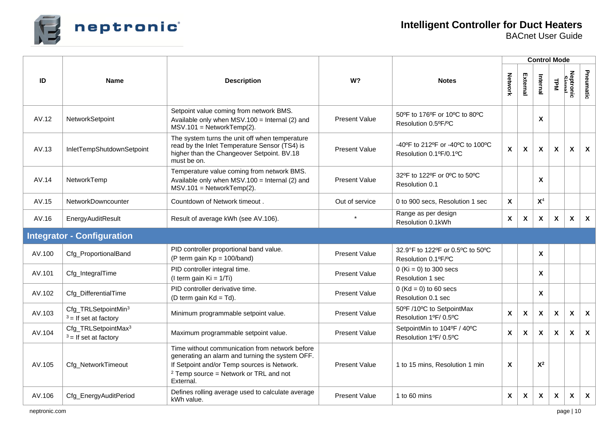

|        |                                                            |                                                                                                                                                                                                           |                      |                                                            |                           | <b>Control Mode</b>       |                           |                           |                           |                           |
|--------|------------------------------------------------------------|-----------------------------------------------------------------------------------------------------------------------------------------------------------------------------------------------------------|----------------------|------------------------------------------------------------|---------------------------|---------------------------|---------------------------|---------------------------|---------------------------|---------------------------|
| ID     | <b>Name</b>                                                | <b>Description</b>                                                                                                                                                                                        | W?                   | <b>Notes</b>                                               | Network                   | External                  | Internal                  | TPM                       | Neptronic<br>Simal        | Pneumatic                 |
| AV.12  | NetworkSetpoint                                            | Setpoint value coming from network BMS.<br>Available only when MSV.100 = Internal (2) and<br>$MSV.101 = NetworkTemp(2)$ .                                                                                 | <b>Present Value</b> | 50°F to 176°F or 10°C to 80°C<br>Resolution 0.5°F/°C       |                           |                           | $\boldsymbol{\mathsf{X}}$ |                           |                           |                           |
| AV.13  | InletTempShutdownSetpoint                                  | The system turns the unit off when temperature<br>read by the Inlet Temperature Sensor (TS4) is<br>higher than the Changeover Setpoint. BV.18<br>must be on.                                              | <b>Present Value</b> | -40°F to 212°F or -40°C to 100°C<br>Resolution 0.1ºF/0.1ºC | X                         | $\boldsymbol{\mathsf{X}}$ | $\boldsymbol{\mathsf{X}}$ | $\boldsymbol{\mathsf{X}}$ | $\boldsymbol{\mathsf{X}}$ | $\boldsymbol{\mathsf{X}}$ |
| AV.14  | NetworkTemp                                                | Temperature value coming from network BMS.<br>Available only when $MSV.100 =$ Internal (2) and<br>$MSV.101 = NetworkTemp(2)$ .                                                                            | <b>Present Value</b> | 32°F to 122°F or 0°C to 50°C<br>Resolution 0.1             |                           |                           | X                         |                           |                           |                           |
| AV.15  | <b>NetworkDowncounter</b>                                  | Countdown of Network timeout.                                                                                                                                                                             | Out of service       | 0 to 900 secs, Resolution 1 sec                            | $\mathbf{x}$              |                           | X <sup>4</sup>            |                           |                           |                           |
| AV.16  | EnergyAuditResult                                          | Result of average kWh (see AV.106).                                                                                                                                                                       |                      | Range as per design<br>Resolution 0.1kWh                   | X                         | $\boldsymbol{\mathsf{X}}$ | $\boldsymbol{\mathsf{X}}$ | $\boldsymbol{\mathsf{X}}$ | $\boldsymbol{\mathsf{x}}$ | $\boldsymbol{\mathsf{X}}$ |
|        | <b>Integrator - Configuration</b>                          |                                                                                                                                                                                                           |                      |                                                            |                           |                           |                           |                           |                           |                           |
| AV.100 | Cfg_ProportionalBand                                       | PID controller proportional band value.<br>(P term gain $Kp = 100/b$ and)                                                                                                                                 | <b>Present Value</b> | 32.9°F to 122°F or 0.5°C to 50°C<br>Resolution 0.1ºF/ºC    |                           |                           | $\boldsymbol{\mathsf{x}}$ |                           |                           |                           |
| AV.101 | Cfg_IntegralTime                                           | PID controller integral time.<br>(I term gain $Ki = 1/Ti$ )                                                                                                                                               | <b>Present Value</b> | 0 (Ki = 0) to 300 secs<br><b>Resolution 1 sec</b>          |                           |                           | X                         |                           |                           |                           |
| AV.102 | Cfg_DifferentialTime                                       | PID controller derivative time.<br>(D term gain $Kd = Td$ ).                                                                                                                                              | <b>Present Value</b> | 0 ( $Kd = 0$ ) to 60 secs<br>Resolution 0.1 sec            |                           |                           | $\boldsymbol{\mathsf{x}}$ |                           |                           |                           |
| AV.103 | Cfg_TRLSetpointMin <sup>3</sup><br>$3 =$ If set at factory | Minimum programmable setpoint value.                                                                                                                                                                      | <b>Present Value</b> | 50°F /10°C to SetpointMax<br>Resolution 1ºF/0.5°C          | $\mathbf x$               | $\boldsymbol{\mathsf{x}}$ | $\boldsymbol{\mathsf{X}}$ | $\boldsymbol{\mathsf{X}}$ | $\boldsymbol{\mathsf{X}}$ | $\boldsymbol{\mathsf{X}}$ |
| AV.104 | Cfg_TRLSetpointMax <sup>3</sup><br>$3 =$ If set at factory | Maximum programmable setpoint value.                                                                                                                                                                      | <b>Present Value</b> | SetpointMin to 104°F / 40°C<br>Resolution 1ºF/ 0.5°C       | $\mathbf{x}$              | $\boldsymbol{\mathsf{x}}$ | $\boldsymbol{\mathsf{x}}$ | $\boldsymbol{\mathsf{x}}$ | $\boldsymbol{\mathsf{x}}$ | $\boldsymbol{\mathsf{X}}$ |
| AV.105 | Cfg_NetworkTimeout                                         | Time without communication from network before<br>generating an alarm and turning the system OFF.<br>If Setpoint and/or Temp sources is Network.<br>$2$ Temp source = Network or TRL and not<br>External. | <b>Present Value</b> | 1 to 15 mins, Resolution 1 min                             | $\boldsymbol{\mathsf{x}}$ |                           | $X^2$                     |                           |                           |                           |
| AV.106 | Cfg_EnergyAuditPeriod                                      | Defines rolling average used to calculate average<br>kWh value.                                                                                                                                           | <b>Present Value</b> | 1 to 60 mins                                               | $\mathsf{x}$              | $\mathsf{x}$              | $\mathsf{x}$              | $\mathsf{x}$              | $\mathsf{x}$              | $\boldsymbol{\mathsf{X}}$ |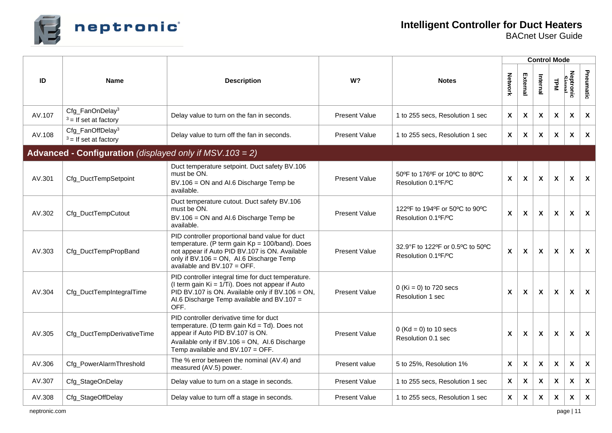

|        |                                                             | <b>Description</b>                                                                                                                                                                                                                   | W?                   | <b>Notes</b>                                            | <b>Control Mode</b>       |                           |                           |                           |                           |                           |  |  |
|--------|-------------------------------------------------------------|--------------------------------------------------------------------------------------------------------------------------------------------------------------------------------------------------------------------------------------|----------------------|---------------------------------------------------------|---------------------------|---------------------------|---------------------------|---------------------------|---------------------------|---------------------------|--|--|
| ID     | <b>Name</b>                                                 |                                                                                                                                                                                                                                      |                      |                                                         | Network                   | External                  | Internal                  | <b>LPM</b>                | Neptronic<br>Signal       | Pneumatic                 |  |  |
| AV.107 | Cfg_FanOnDelay <sup>3</sup><br>$3 =$ If set at factory      | Delay value to turn on the fan in seconds.                                                                                                                                                                                           | <b>Present Value</b> | 1 to 255 secs, Resolution 1 sec                         | $\mathsf{x}$              | X                         | X                         | X                         | $\boldsymbol{\mathsf{x}}$ | X                         |  |  |
| AV.108 | Cfg_FanOffDelay <sup>3</sup><br>$3 =$ If set at factory     | Delay value to turn off the fan in seconds.                                                                                                                                                                                          | <b>Present Value</b> | 1 to 255 secs, Resolution 1 sec                         | X                         | X                         | $\boldsymbol{\mathsf{X}}$ | X                         | X                         | $\boldsymbol{\mathsf{X}}$ |  |  |
|        | Advanced - Configuration (displayed only if $MSV.103 = 2$ ) |                                                                                                                                                                                                                                      |                      |                                                         |                           |                           |                           |                           |                           |                           |  |  |
| AV.301 | Cfg_DuctTempSetpoint                                        | Duct temperature setpoint. Duct safety BV.106<br>must be ON.<br>BV.106 = ON and AI.6 Discharge Temp be<br>available.                                                                                                                 | <b>Present Value</b> | 50°F to 176°F or 10°C to 80°C<br>Resolution 0.1ºF/ºC    | $\boldsymbol{\mathsf{x}}$ | $\boldsymbol{\mathsf{X}}$ | $\boldsymbol{\mathsf{X}}$ | $\boldsymbol{\mathsf{x}}$ | X                         | $\boldsymbol{\mathsf{x}}$ |  |  |
| AV.302 | Cfg_DuctTempCutout                                          | Duct temperature cutout. Duct safety BV.106<br>must be ON.<br>BV.106 = ON and AI.6 Discharge Temp be<br>available.                                                                                                                   | <b>Present Value</b> | 122°F to 194°F or 50°C to 90°C<br>Resolution 0.1ºF/ºC   | $\mathbf{x}$              | $\boldsymbol{\mathsf{x}}$ | $\mathbf{x}$              | $\mathbf{x}$              | X                         | $\mathbf{x}$              |  |  |
| AV.303 | Cfg_DuctTempPropBand                                        | PID controller proportional band value for duct<br>temperature. (P term gain $Kp = 100/b$ and). Does<br>not appear if Auto PID BV.107 is ON. Available<br>only if BV.106 = ON, AI.6 Discharge Temp<br>available and BV.107 = $OFF$ . | <b>Present Value</b> | 32.9°F to 122°F or 0.5°C to 50°C<br>Resolution 0.1ºF/ºC | X                         | $\boldsymbol{\mathsf{X}}$ | X                         | X                         | X                         | $\mathsf{x}$              |  |  |
| AV.304 | Cfg_DuctTempIntegralTime                                    | PID controller integral time for duct temperature.<br>(I term gain $Ki = 1/Ti$ ). Does not appear if Auto<br>PID BV.107 is ON. Available only if BV.106 = ON,<br>AI.6 Discharge Temp available and BV.107 =<br>OFF.                  | <b>Present Value</b> | $0$ (Ki = 0) to 720 secs<br><b>Resolution 1 sec</b>     | $\boldsymbol{\mathsf{x}}$ | $\boldsymbol{\mathsf{X}}$ | $\boldsymbol{\mathsf{x}}$ | $\boldsymbol{\mathsf{x}}$ | $\boldsymbol{\mathsf{x}}$ | $\boldsymbol{\mathsf{X}}$ |  |  |
| AV.305 | Cfg_DuctTempDerivativeTime                                  | PID controller derivative time for duct<br>temperature. (D term gain $Kd = Td$ ). Does not<br>appear if Auto PID BV.107 is ON.<br>Available only if BV.106 = ON, AI.6 Discharge<br>Temp available and BV.107 = OFF.                  | <b>Present Value</b> | $0$ (Kd = 0) to 10 secs<br>Resolution 0.1 sec           | $\boldsymbol{\mathsf{X}}$ | $\boldsymbol{\mathsf{x}}$ | $\boldsymbol{\mathsf{x}}$ | X                         | X                         | $\boldsymbol{\mathsf{x}}$ |  |  |
| AV.306 | Cfg_PowerAlarmThreshold                                     | The % error between the nominal (AV.4) and<br>measured (AV.5) power.                                                                                                                                                                 | Present value        | 5 to 25%, Resolution 1%                                 | $\boldsymbol{\mathsf{x}}$ | $\boldsymbol{\mathsf{X}}$ | $\boldsymbol{\mathsf{x}}$ | $\boldsymbol{\mathsf{x}}$ | X                         | $\boldsymbol{\mathsf{x}}$ |  |  |
| AV.307 | Cfg_StageOnDelay                                            | Delay value to turn on a stage in seconds.                                                                                                                                                                                           | <b>Present Value</b> | 1 to 255 secs, Resolution 1 sec                         | $\boldsymbol{\mathsf{X}}$ | $\boldsymbol{\mathsf{X}}$ | $\boldsymbol{\mathsf{X}}$ | $\boldsymbol{\mathsf{X}}$ | $\pmb{\chi}$              | $\boldsymbol{X}$          |  |  |
| AV.308 | Cfg_StageOffDelay                                           | Delay value to turn off a stage in seconds.                                                                                                                                                                                          | <b>Present Value</b> | 1 to 255 secs, Resolution 1 sec                         | X                         | X                         | X                         | X                         | $\boldsymbol{\mathsf{x}}$ | $\boldsymbol{\mathsf{X}}$ |  |  |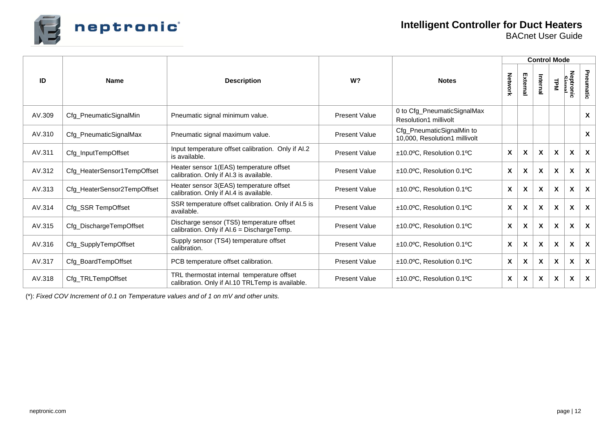

|        |                             |                                                                                                |                      |                                                             | <b>Control Mode</b>       |          |                           |                           |                              |                           |  |  |
|--------|-----------------------------|------------------------------------------------------------------------------------------------|----------------------|-------------------------------------------------------------|---------------------------|----------|---------------------------|---------------------------|------------------------------|---------------------------|--|--|
| ID     | <b>Name</b>                 | <b>Description</b>                                                                             | W <sup>2</sup>       | <b>Notes</b>                                                | Network                   | External | Internal                  | TPM                       | Neptronic<br>Neptronic<br>l. | Pneumatic                 |  |  |
| AV.309 | Cfg_PneumaticSignalMin      | Pneumatic signal minimum value.                                                                | <b>Present Value</b> | 0 to Cfg_PneumaticSignalMax<br><b>Resolution1 millivolt</b> |                           |          |                           |                           |                              | X                         |  |  |
| AV.310 | Cfg_PneumaticSignalMax      | Pneumatic signal maximum value.                                                                | <b>Present Value</b> | Cfg_PneumaticSignalMin to<br>10,000, Resolution1 millivolt  |                           |          |                           |                           |                              | X                         |  |  |
| AV.311 | Cfg_InputTempOffset         | Input temperature offset calibration. Only if AI.2<br>is available.                            | <b>Present Value</b> | $±10.0$ °C, Resolution 0.1°C                                | X                         | X        | $\boldsymbol{\mathsf{x}}$ | $\boldsymbol{\mathsf{x}}$ | X                            | $\mathsf{x}$              |  |  |
| AV.312 | Cfg_HeaterSensor1TempOffset | Heater sensor 1(EAS) temperature offset<br>calibration. Only if AI.3 is available.             | <b>Present Value</b> | ±10.0°C, Resolution 0.1°C                                   | X                         | X        | X                         | $\boldsymbol{x}$          | X                            | $\boldsymbol{\mathsf{X}}$ |  |  |
| AV.313 | Cfg_HeaterSensor2TempOffset | Heater sensor 3(EAS) temperature offset<br>calibration. Only if AI.4 is available.             | <b>Present Value</b> | ±10.0°C, Resolution 0.1°C                                   | $\boldsymbol{\mathsf{x}}$ | X        | X                         | X                         | X                            | $\boldsymbol{\mathsf{X}}$ |  |  |
| AV.314 | Cfg_SSR TempOffset          | SSR temperature offset calibration. Only if AI.5 is<br>available.                              | <b>Present Value</b> | ±10.0°C, Resolution 0.1°C                                   | $\mathsf{x}$              | X        | X                         | X                         | X                            | $\mathsf{x}$              |  |  |
| AV.315 | Cfg_DischargeTempOffset     | Discharge sensor (TS5) temperature offset<br>calibration. Only if AI.6 = DischargeTemp.        | <b>Present Value</b> | ±10.0°C, Resolution 0.1°C                                   | $\boldsymbol{\mathsf{X}}$ | X        | X                         | X                         | X                            | X                         |  |  |
| AV.316 | Cfg_SupplyTempOffset        | Supply sensor (TS4) temperature offset<br>calibration.                                         | <b>Present Value</b> | ±10.0°C, Resolution 0.1°C                                   | X                         | X        | X                         | X                         | X                            | $\mathsf{x}$              |  |  |
| AV.317 | Cfg_BoardTempOffset         | PCB temperature offset calibration.                                                            | <b>Present Value</b> | ±10.0°C, Resolution 0.1°C                                   | $\boldsymbol{\mathsf{X}}$ | X        | $\boldsymbol{\mathsf{x}}$ | X                         | X                            | $\boldsymbol{\mathsf{X}}$ |  |  |
| AV.318 | Cfg_TRLTempOffset           | TRL thermostat internal temperature offset<br>calibration. Only if AI.10 TRLTemp is available. | <b>Present Value</b> | ±10.0°C, Resolution 0.1°C                                   | X                         | X        | $\mathsf{x}$              | $\boldsymbol{\mathsf{X}}$ | X                            | $\boldsymbol{\mathsf{X}}$ |  |  |

(\*): *Fixed COV Increment of 0.1 on Temperature values and of 1 on mV and other units.*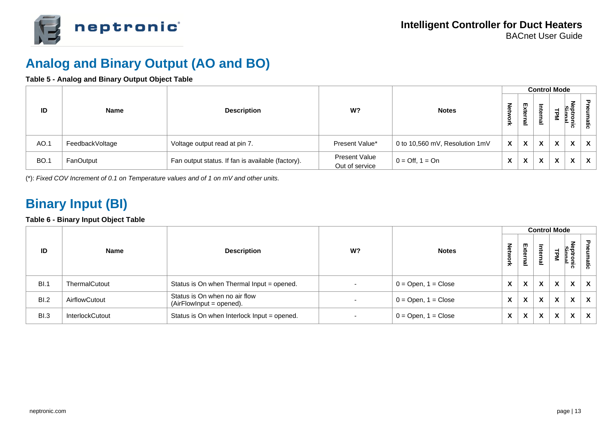

### **Analog and Binary Output (AO and BO)**

#### **Table 5 - Analog and Binary Output Object Table**

|             |                 |                                                   |                                        |                                 |                           |                           | <b>Control Mode</b>                             |                           |                                                 |              |
|-------------|-----------------|---------------------------------------------------|----------------------------------------|---------------------------------|---------------------------|---------------------------|-------------------------------------------------|---------------------------|-------------------------------------------------|--------------|
| ID          | Name            | <b>Description</b>                                | W?                                     | <b>Notes</b>                    | 좋                         | Ęxt<br>ቧ<br>Б<br>உ        | $\overline{z}$<br>œ.<br>∍<br>$\bar{\mathbf{a}}$ |                           | z<br>ਨ`                                         |              |
| AO.1        | FeedbackVoltage | Voltage output read at pin 7.                     | Present Value*                         | 0 to 10,560 mV, Resolution 1mV  | $\boldsymbol{\mathsf{x}}$ | $\boldsymbol{\mathsf{x}}$ | $\boldsymbol{\mathsf{X}}$                       | X                         | $\mathbf{v}$<br>$\boldsymbol{\mathsf{\Lambda}}$ | $\mathsf{x}$ |
| <b>BO.1</b> | FanOutput       | Fan output status. If fan is available (factory). | <b>Present Value</b><br>Out of service | $0 = \text{Off}, 1 = \text{On}$ | X                         | $\boldsymbol{\mathsf{x}}$ | X                                               | $\boldsymbol{\mathsf{x}}$ | $\mathbf{v}$<br>$\lambda$                       | $\mathsf{x}$ |

(\*): *Fixed COV Increment of 0.1 on Temperature values and of 1 on mV and other units.*

### **Binary Input (BI)**

#### **Table 6 - Binary Input Object Table**

|      |                        |                                                             |                          |                         |   | <b>Control Mode</b>       |                                                          |   |   |              |
|------|------------------------|-------------------------------------------------------------|--------------------------|-------------------------|---|---------------------------|----------------------------------------------------------|---|---|--------------|
| ID   | <b>Name</b>            | <b>Description</b>                                          | W?                       | <b>Notes</b>            |   | External                  | $\overline{\phantom{0}}$<br>$\overline{a}$<br><b>Pal</b> |   | ਨ | atic         |
| BI.1 | ThermalCutout          | Status is On when Thermal Input = opened.                   | $\overline{\phantom{0}}$ | $0 =$ Open, $1 =$ Close | X | $\boldsymbol{\mathsf{x}}$ | $\mathbf{v}$<br>$\lambda$                                | X | X | $\mathbf{x}$ |
| BI.2 | AirflowCutout          | Status is On when no air flow<br>$(AirFlowInput = opened).$ | $\overline{\phantom{0}}$ | $0 =$ Open, $1 =$ Close | X | $\boldsymbol{\mathsf{x}}$ | $\mathbf{v}$<br>$\lambda$                                | X | X | $\mathbf{x}$ |
| BI.3 | <b>InterlockCutout</b> | Status is On when Interlock Input = opened.                 | $\overline{\phantom{0}}$ | $0 =$ Open, $1 =$ Close | X | $\boldsymbol{\mathsf{x}}$ | $\mathbf v$<br>$\mathbf{A}$                              | X | X | $\mathbf{x}$ |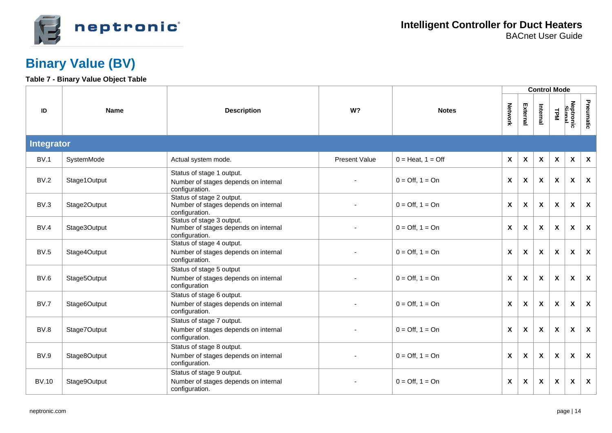

### **Binary Value (BV)**

#### **Table 7 - Binary Value Object Table**

|              |              |                                                                                     |                |                                 |                           |                           |          | <b>Control Mode</b> |                           |                           |
|--------------|--------------|-------------------------------------------------------------------------------------|----------------|---------------------------------|---------------------------|---------------------------|----------|---------------------|---------------------------|---------------------------|
| ID           | <b>Name</b>  | <b>Description</b>                                                                  | W <sub>2</sub> | <b>Notes</b>                    |                           | External                  | Internal | TPM                 | Neptronic<br>Signal       | Pneumatic                 |
| Integrator   |              |                                                                                     |                |                                 |                           |                           |          |                     |                           |                           |
| BV.1         | SystemMode   | Actual system mode.                                                                 | Present Value  | $0 = Heat, 1 = Off$             | $\boldsymbol{\mathsf{X}}$ | $\pmb{\chi}$              | X        | $\mathbf{x}$        | $\boldsymbol{\mathsf{X}}$ | $\boldsymbol{\mathsf{X}}$ |
| BV.2         | Stage1Output | Status of stage 1 output.<br>Number of stages depends on internal<br>configuration. |                | $0 = \text{Off}, 1 = \text{On}$ | X                         | X                         | X        | $\mathsf{x}$        | $\boldsymbol{\mathsf{x}}$ | $\boldsymbol{\mathsf{X}}$ |
| BV.3         | Stage2Output | Status of stage 2 output.<br>Number of stages depends on internal<br>configuration. |                | $0 = \text{Off}, 1 = \text{On}$ | $\boldsymbol{\mathsf{x}}$ | $\pmb{\chi}$              | X        | X                   | $\boldsymbol{\mathsf{X}}$ | $\boldsymbol{\mathsf{X}}$ |
| BV.4         | Stage3Output | Status of stage 3 output.<br>Number of stages depends on internal<br>configuration. |                | $0 = \text{Off}, 1 = \text{On}$ | $\boldsymbol{\mathsf{x}}$ | X                         | X        | X                   | X                         | $\boldsymbol{\mathsf{X}}$ |
| <b>BV.5</b>  | Stage4Output | Status of stage 4 output.<br>Number of stages depends on internal<br>configuration. |                | $0 = \text{Off}, 1 = \text{On}$ | $\pmb{\chi}$              | $\boldsymbol{\mathsf{x}}$ | X        | X                   | X                         | $\boldsymbol{\mathsf{X}}$ |
| BV.6         | Stage5Output | Status of stage 5 output<br>Number of stages depends on internal<br>configuration   |                | $0 = \text{Off}, 1 = \text{On}$ | $\boldsymbol{\mathsf{x}}$ | $\boldsymbol{\mathsf{x}}$ | X        | X                   | X                         | $\boldsymbol{\mathsf{x}}$ |
| BV.7         | Stage6Output | Status of stage 6 output.<br>Number of stages depends on internal<br>configuration. |                | $0 = \text{Off}, 1 = \text{On}$ | $\pmb{\chi}$              | $\pmb{\chi}$              | X        | X                   | X                         | $\boldsymbol{\mathsf{X}}$ |
| BV.8         | Stage7Output | Status of stage 7 output.<br>Number of stages depends on internal<br>configuration. |                | $0 = \text{Off}, 1 = \text{On}$ | $\boldsymbol{\mathsf{x}}$ | $\boldsymbol{\mathsf{X}}$ | X        | X                   | X                         | $\boldsymbol{\mathsf{X}}$ |
| <b>BV.9</b>  | Stage8Output | Status of stage 8 output.<br>Number of stages depends on internal<br>configuration. |                | $0 = \text{Off}, 1 = \text{On}$ | X                         | X                         | X        | $\mathbf{x}$        | X                         | $\boldsymbol{\mathsf{x}}$ |
| <b>BV.10</b> | Stage9Output | Status of stage 9 output.<br>Number of stages depends on internal<br>configuration. |                | $0 = \text{Off}, 1 = \text{On}$ | $\pmb{\chi}$              | $\pmb{\chi}$              | X        | X                   | $\boldsymbol{\mathsf{X}}$ | $\boldsymbol{\mathsf{X}}$ |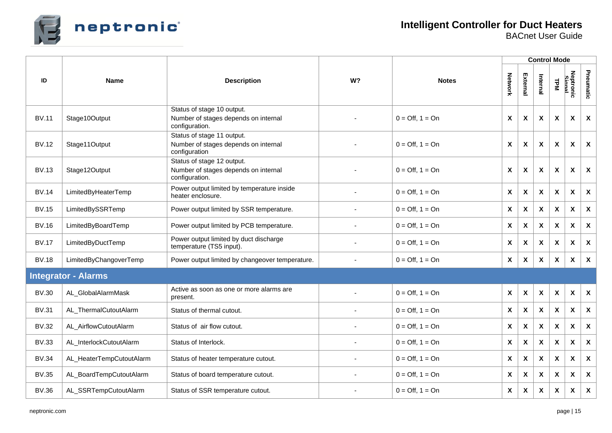

|              |                                   |                                                                                      |    |                                 |                           |                           |                           | <b>Control Mode</b>       |                           |                           |
|--------------|-----------------------------------|--------------------------------------------------------------------------------------|----|---------------------------------|---------------------------|---------------------------|---------------------------|---------------------------|---------------------------|---------------------------|
| ID           | <b>Name</b><br><b>Description</b> |                                                                                      | W? | <b>Notes</b>                    |                           | External                  | Internal                  | <b>LPM</b>                | Neptronic<br>Simal        | Pneumatic                 |
| <b>BV.11</b> | Stage10Output                     | Status of stage 10 output.<br>Number of stages depends on internal<br>configuration. |    | $0 = \text{Off}, 1 = \text{On}$ | X                         | $\boldsymbol{\mathsf{x}}$ | $\boldsymbol{\mathsf{X}}$ | X                         | X                         | X                         |
| <b>BV.12</b> | Stage11Output                     | Status of stage 11 output.<br>Number of stages depends on internal<br>configuration  |    | $0 = \text{Off}, 1 = \text{On}$ | X                         | $\boldsymbol{\mathsf{X}}$ | $\boldsymbol{\mathsf{X}}$ | $\boldsymbol{\mathsf{x}}$ | X                         | $\boldsymbol{\mathsf{x}}$ |
| <b>BV.13</b> | Stage12Output                     | Status of stage 12 output.<br>Number of stages depends on internal<br>configuration. |    | $0 = \text{Off}, 1 = \text{On}$ | $\boldsymbol{\mathsf{X}}$ | $\boldsymbol{\mathsf{X}}$ | $\boldsymbol{\mathsf{X}}$ | $\pmb{\chi}$              | X                         | $\boldsymbol{\mathsf{x}}$ |
| <b>BV.14</b> | LimitedByHeaterTemp               | Power output limited by temperature inside<br>heater enclosure.                      |    | $0 = \text{Off}, 1 = \text{On}$ | X                         | $\boldsymbol{\mathsf{x}}$ | $\boldsymbol{\mathsf{X}}$ | $\boldsymbol{\mathsf{x}}$ | X                         | $\boldsymbol{\mathsf{X}}$ |
| <b>BV.15</b> | LimitedBySSRTemp                  | Power output limited by SSR temperature.                                             |    | $0 = \text{Off}, 1 = \text{On}$ | $\mathsf{X}$              | $\boldsymbol{\mathsf{X}}$ | $\boldsymbol{\mathsf{X}}$ | $\boldsymbol{\mathsf{X}}$ | X                         | $\boldsymbol{\mathsf{X}}$ |
| <b>BV.16</b> | LimitedByBoardTemp                | Power output limited by PCB temperature.                                             |    | $0 = \text{Off}, 1 = \text{On}$ | $\boldsymbol{\mathsf{X}}$ | $\boldsymbol{\mathsf{x}}$ | $\boldsymbol{\mathsf{X}}$ | X                         | X                         | $\boldsymbol{\mathsf{X}}$ |
| <b>BV.17</b> | LimitedByDuctTemp                 | Power output limited by duct discharge<br>temperature (TS5 input).                   |    | $0 = \text{Off}, 1 = \text{On}$ | $\boldsymbol{\mathsf{X}}$ | $\boldsymbol{\mathsf{X}}$ | $\boldsymbol{\mathsf{X}}$ | $\boldsymbol{\mathsf{X}}$ | X                         | $\boldsymbol{\mathsf{X}}$ |
| <b>BV.18</b> | LimitedByChangoverTemp            | Power output limited by changeover temperature.                                      |    | $0 = \text{Off}, 1 = \text{On}$ | $\boldsymbol{\mathsf{X}}$ | $\boldsymbol{\mathsf{X}}$ | $\boldsymbol{\mathsf{X}}$ | $\boldsymbol{\mathsf{X}}$ | X                         | $\boldsymbol{\mathsf{x}}$ |
|              | <b>Integrator - Alarms</b>        |                                                                                      |    |                                 |                           |                           |                           |                           |                           |                           |
| <b>BV.30</b> | AL_GlobalAlarmMask                | Active as soon as one or more alarms are<br>present.                                 |    | $0 = \text{Off}, 1 = \text{On}$ | $\boldsymbol{\mathsf{X}}$ | $\boldsymbol{\mathsf{X}}$ | $\boldsymbol{\mathsf{X}}$ | $\boldsymbol{\mathsf{X}}$ | $\boldsymbol{\mathsf{X}}$ | $\boldsymbol{\mathsf{x}}$ |
| <b>BV.31</b> | AL_ThermalCutoutAlarm             | Status of thermal cutout.                                                            |    | $0 = \text{Off}, 1 = \text{On}$ | $\mathsf{X}$              | $\boldsymbol{\mathsf{X}}$ | $\boldsymbol{\mathsf{X}}$ | $\boldsymbol{\mathsf{X}}$ | $\boldsymbol{\mathsf{X}}$ | $\boldsymbol{\mathsf{X}}$ |
| <b>BV.32</b> | AL_AirflowCutoutAlarm             | Status of air flow cutout.                                                           |    | $0 = \text{Off}, 1 = \text{On}$ | $\boldsymbol{\mathsf{X}}$ | X                         | $\boldsymbol{\mathsf{X}}$ | $\pmb{\chi}$              | X                         | $\boldsymbol{\mathsf{X}}$ |
| <b>BV.33</b> | AL_InterlockCutoutAlarm           | Status of Interlock.                                                                 |    | $0 = \text{Off}, 1 = \text{On}$ | $\mathsf{X}$              | $\boldsymbol{\mathsf{X}}$ | $\boldsymbol{\mathsf{X}}$ | X                         | X                         | $\boldsymbol{\mathsf{X}}$ |
| <b>BV.34</b> | AL_HeaterTempCutoutAlarm          | Status of heater temperature cutout.                                                 |    | $0 = \text{Off}, 1 = \text{On}$ | X                         | X                         | X                         | X                         | X                         | $\pmb{\mathsf{X}}$        |
| <b>BV.35</b> | AL_BoardTempCutoutAlarm           | Status of board temperature cutout.                                                  |    | $0 = \text{Off}, 1 = \text{On}$ | $\mathsf{X}$              | $\boldsymbol{\mathsf{X}}$ | $\boldsymbol{\mathsf{X}}$ | $\boldsymbol{\mathsf{X}}$ | X                         | $\boldsymbol{\mathsf{x}}$ |
| <b>BV.36</b> | AL_SSRTempCutoutAlarm             | Status of SSR temperature cutout.                                                    |    | $0 = \text{Off}, 1 = \text{On}$ | $\boldsymbol{\mathsf{X}}$ | $\pmb{\mathsf{X}}$        | X                         | X                         | X                         | $\boldsymbol{\mathsf{X}}$ |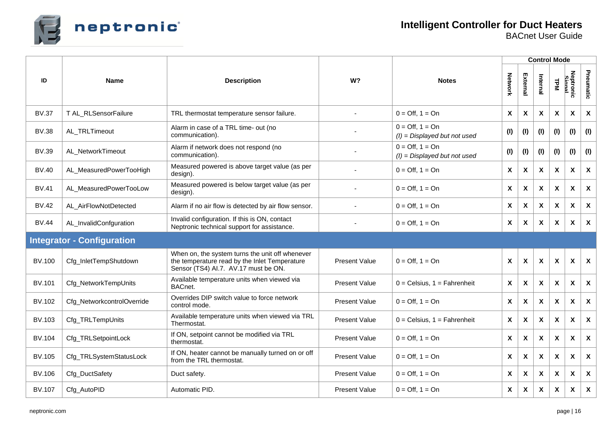

|               |                                   |                                                                                                                                          |                      |                                                                   |                           |                           |                           | <b>Control Mode</b>       |                           |                           |
|---------------|-----------------------------------|------------------------------------------------------------------------------------------------------------------------------------------|----------------------|-------------------------------------------------------------------|---------------------------|---------------------------|---------------------------|---------------------------|---------------------------|---------------------------|
| ID            | <b>Name</b>                       | <b>Description</b>                                                                                                                       | W?                   | <b>Notes</b>                                                      |                           | External                  | Internal                  | <b>LPM</b>                | Neptronic<br>Simal        | Pneumatic                 |
| <b>BV.37</b>  | T AL_RLSensorFailure              | TRL thermostat temperature sensor failure.                                                                                               |                      | $0 = \text{Off}, 1 = \text{On}$                                   | X                         | $\boldsymbol{\mathsf{X}}$ | $\boldsymbol{\mathsf{X}}$ | $\boldsymbol{\mathsf{X}}$ | X                         | $\boldsymbol{\mathsf{X}}$ |
| <b>BV.38</b>  | AL_TRLTimeout                     | Alarm in case of a TRL time- out (no<br>communication).                                                                                  |                      | $0 = \text{Off}, 1 = \text{On}$<br>$(1)$ = Displayed but not used | (1)                       | (1)                       | (1)                       | (1)                       | (1)                       | (1)                       |
| <b>BV.39</b>  | AL_NetworkTimeout                 | Alarm if network does not respond (no<br>communication).                                                                                 |                      | $0 = \text{Off}, 1 = \text{On}$<br>$(1)$ = Displayed but not used | (1)                       | (1)                       | (1)                       | (1)                       | (1)                       | (1)                       |
| <b>BV.40</b>  | AL_MeasuredPowerTooHigh           | Measured powered is above target value (as per<br>design).                                                                               |                      | $0 = \text{Off}, 1 = \text{On}$                                   | $\boldsymbol{\mathsf{X}}$ | $\boldsymbol{\mathsf{X}}$ | $\boldsymbol{\mathsf{X}}$ | $\boldsymbol{\mathsf{X}}$ | X                         | $\boldsymbol{\mathsf{X}}$ |
| <b>BV.41</b>  | AL_MeasuredPowerTooLow            | Measured powered is below target value (as per<br>design).                                                                               |                      | $0 = \text{Off}, 1 = \text{On}$                                   | $\boldsymbol{\mathsf{X}}$ | $\boldsymbol{\mathsf{X}}$ | $\boldsymbol{\mathsf{X}}$ | $\boldsymbol{\mathsf{X}}$ | X                         | $\boldsymbol{\mathsf{X}}$ |
| <b>BV.42</b>  | AL_AirFlowNotDetected             | Alarm if no air flow is detected by air flow sensor.                                                                                     |                      | $0 = \text{Off}, 1 = \text{On}$                                   | X                         | $\boldsymbol{\mathsf{x}}$ | $\boldsymbol{\mathsf{X}}$ | X                         | X                         | X                         |
| <b>BV.44</b>  | AL_InvalidConfguration            | Invalid configuration. If this is ON, contact<br>Neptronic technical support for assistance.                                             |                      | $0 = \text{Off}, 1 = \text{On}$                                   | $\boldsymbol{\mathsf{x}}$ | $\boldsymbol{\mathsf{X}}$ | $\boldsymbol{\mathsf{X}}$ | $\boldsymbol{\mathsf{x}}$ | X                         | $\boldsymbol{\mathsf{X}}$ |
|               | <b>Integrator - Configuration</b> |                                                                                                                                          |                      |                                                                   |                           |                           |                           |                           |                           |                           |
| <b>BV.100</b> | Cfg_InletTempShutdown             | When on, the system turns the unit off whenever<br>the temperature read by the Inlet Temperature<br>Sensor (TS4) Al.7. AV.17 must be ON. | <b>Present Value</b> | $0 = \text{Off}, 1 = \text{On}$                                   | $\boldsymbol{\mathsf{X}}$ | $\boldsymbol{\mathsf{X}}$ | $\boldsymbol{\mathsf{X}}$ | $\boldsymbol{\mathsf{X}}$ | X                         | $\boldsymbol{\mathsf{X}}$ |
| <b>BV.101</b> | Cfg_NetworkTempUnits              | Available temperature units when viewed via<br>BACnet.                                                                                   | <b>Present Value</b> | $0 = Celsius, 1 = Fahrenheit$                                     | $\boldsymbol{\mathsf{x}}$ | $\boldsymbol{\mathsf{x}}$ | $\boldsymbol{\mathsf{x}}$ | X                         | X                         | $\boldsymbol{\mathsf{x}}$ |
| BV.102        | Cfg_NetworkcontrolOverride        | Overrides DIP switch value to force network<br>control mode.                                                                             | <b>Present Value</b> | $0 = \text{Off}, 1 = \text{On}$                                   | X                         | $\boldsymbol{\mathsf{x}}$ | $\boldsymbol{\mathsf{X}}$ | X                         | X                         | $\boldsymbol{\mathsf{X}}$ |
| BV.103        | Cfg_TRLTempUnits                  | Available temperature units when viewed via TRL<br>Thermostat.                                                                           | <b>Present Value</b> | $0 = Celsius, 1 = Fahrenheit$                                     | $\boldsymbol{\mathsf{X}}$ | $\boldsymbol{\mathsf{x}}$ | $\boldsymbol{\mathsf{X}}$ | $\boldsymbol{\mathsf{x}}$ | X                         | $\boldsymbol{\mathsf{X}}$ |
| <b>BV.104</b> | Cfg_TRLSetpointLock               | If ON, setpoint cannot be modified via TRL<br>thermostat.                                                                                | <b>Present Value</b> | $0 = \text{Off}, 1 = \text{On}$                                   | $\boldsymbol{\mathsf{X}}$ | $\boldsymbol{\mathsf{X}}$ | $\boldsymbol{\mathsf{X}}$ | X                         | X                         | $\boldsymbol{\mathsf{X}}$ |
| <b>BV.105</b> | Cfg_TRLSystemStatusLock           | If ON, heater cannot be manually turned on or off<br>from the TRL thermostat.                                                            | <b>Present Value</b> | $0 = \text{Off}, 1 = \text{On}$                                   | X                         | $\boldsymbol{\mathsf{x}}$ | $\boldsymbol{\mathsf{x}}$ | X                         | X                         | $\boldsymbol{\mathsf{X}}$ |
| BV.106        | Cfg_DuctSafety                    | Duct safety.                                                                                                                             | <b>Present Value</b> | $0 = \text{Off}, 1 = \text{On}$                                   | $\boldsymbol{\mathsf{x}}$ | $\boldsymbol{\mathsf{X}}$ | $\boldsymbol{\mathsf{X}}$ | $\boldsymbol{\mathsf{X}}$ | $\boldsymbol{\mathsf{X}}$ | $\boldsymbol{\mathsf{X}}$ |
| <b>BV.107</b> | Cfg_AutoPID                       | Automatic PID.                                                                                                                           | <b>Present Value</b> | $0 = \text{Off}, 1 = \text{On}$                                   | X                         | X                         | X                         | $\boldsymbol{\mathsf{x}}$ | X                         | X                         |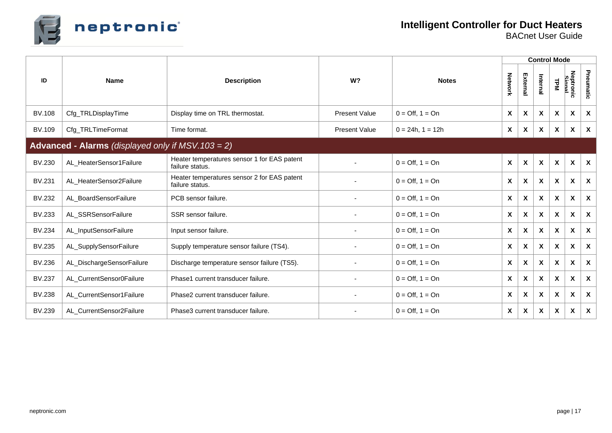

**Intelligent Controller for Duct Heaters**

|               |                                                       |                                                                |                      |                                 | <b>Control Mode</b>       |                           |                           |                           |                    |                           |  |
|---------------|-------------------------------------------------------|----------------------------------------------------------------|----------------------|---------------------------------|---------------------------|---------------------------|---------------------------|---------------------------|--------------------|---------------------------|--|
| ID            | <b>Name</b>                                           | <b>Description</b>                                             | W <sup>2</sup>       | <b>Notes</b>                    |                           | External                  | Internal                  | <b>TPM</b>                | Neptronic<br>Simal | Pneumatic                 |  |
| <b>BV.108</b> | Cfg_TRLDisplayTime                                    | Display time on TRL thermostat.                                | <b>Present Value</b> | $0 = \text{Off}, 1 = \text{On}$ | X                         | $\mathbf{x}$              | X                         | $\boldsymbol{\mathsf{x}}$ | X                  | X                         |  |
| BV.109        | Cfg_TRLTimeFormat                                     | Time format.                                                   | <b>Present Value</b> | $0 = 24h$ , $1 = 12h$           | X                         | $\boldsymbol{\mathsf{x}}$ | $\boldsymbol{\mathsf{X}}$ | $\boldsymbol{\mathsf{x}}$ | X                  | $\boldsymbol{\mathsf{x}}$ |  |
|               | Advanced - Alarms (displayed only if $MSV. 103 = 2$ ) |                                                                |                      |                                 |                           |                           |                           |                           |                    |                           |  |
| BV.230        | AL_HeaterSensor1Failure                               | Heater temperatures sensor 1 for EAS patent<br>failure status. |                      | $0 = \text{Off}, 1 = \text{On}$ | $\boldsymbol{\mathsf{x}}$ | $\boldsymbol{\mathsf{X}}$ | X                         | $\boldsymbol{\mathsf{x}}$ | X                  | $\boldsymbol{\mathsf{x}}$ |  |
| BV.231        | AL_HeaterSensor2Failure                               | Heater temperatures sensor 2 for EAS patent<br>failure status. |                      | $0 = \text{Off}, 1 = \text{On}$ | $\boldsymbol{\mathsf{x}}$ | $\boldsymbol{\mathsf{x}}$ | $\boldsymbol{\mathsf{X}}$ | $\boldsymbol{\mathsf{x}}$ | X                  | $\boldsymbol{\mathsf{x}}$ |  |
| BV.232        | AL_BoardSensorFailure                                 | PCB sensor failure.                                            | $\blacksquare$       | $0 = \text{Off}, 1 = \text{On}$ | $\boldsymbol{\mathsf{x}}$ | $\mathbf{x}$              | $\boldsymbol{\mathsf{x}}$ | $\boldsymbol{\mathsf{x}}$ | X                  | $\boldsymbol{\mathsf{X}}$ |  |
| <b>BV.233</b> | AL_SSRSensorFailure                                   | SSR sensor failure.                                            |                      | $0 = \text{Off}, 1 = \text{On}$ | $\boldsymbol{\mathsf{X}}$ | $\boldsymbol{\mathsf{x}}$ | $\mathsf{x}$              | $\boldsymbol{\mathsf{x}}$ | X                  | $\boldsymbol{\mathsf{x}}$ |  |
| <b>BV.234</b> | AL_InputSensorFailure                                 | Input sensor failure.                                          |                      | $0 = \text{Off}, 1 = \text{On}$ | $\mathsf{x}$              | $\mathbf{x}$              | $\boldsymbol{\mathsf{x}}$ | $\boldsymbol{\mathsf{x}}$ | X                  | $\boldsymbol{\mathsf{X}}$ |  |
| BV.235        | AL_SupplySensorFailure                                | Supply temperature sensor failure (TS4).                       |                      | $0 = \text{Off}, 1 = \text{On}$ | X                         | $\boldsymbol{\mathsf{x}}$ | X                         | $\boldsymbol{\mathsf{x}}$ | X                  | $\boldsymbol{\mathsf{X}}$ |  |
| BV.236        | AL_DischargeSensorFailure                             | Discharge temperature sensor failure (TS5).                    |                      | $0 = \text{Off}, 1 = \text{On}$ | X                         | $\boldsymbol{\mathsf{x}}$ | $\boldsymbol{\mathsf{X}}$ | X                         | X                  | $\boldsymbol{\mathsf{X}}$ |  |
| <b>BV.237</b> | AL_CurrentSensor0Failure                              | Phase1 current transducer failure.                             |                      | $0 = \text{Off}, 1 = \text{On}$ | $\boldsymbol{\mathsf{X}}$ | $\boldsymbol{\mathsf{X}}$ | $\boldsymbol{\mathsf{x}}$ | $\boldsymbol{\mathsf{x}}$ | X                  | X                         |  |
| <b>BV.238</b> | AL_CurrentSensor1Failure                              | Phase2 current transducer failure.                             |                      | $0 = \text{Off}, 1 = \text{On}$ | $\boldsymbol{\mathsf{X}}$ | $\boldsymbol{\mathsf{X}}$ | X                         | $\boldsymbol{\mathsf{X}}$ | X                  | $\boldsymbol{\mathsf{X}}$ |  |
| BV.239        | AL_CurrentSensor2Failure                              | Phase3 current transducer failure.                             |                      | $0 = \text{Off}, 1 = \text{On}$ | X                         | X                         | X                         | X                         | X                  | X                         |  |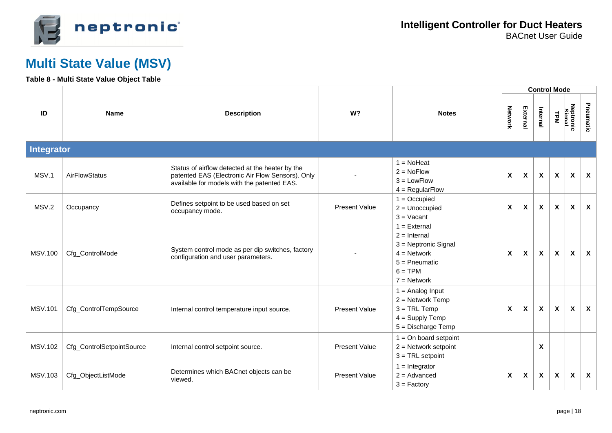

### **Multi State Value (MSV)**

#### **Table 8 - Multi State Value Object Table**

|                |                           |                                                                                                                                                    |                      |                                                                                                                              |                           |                           |          | <b>Control Mode</b>       |                           |                           |
|----------------|---------------------------|----------------------------------------------------------------------------------------------------------------------------------------------------|----------------------|------------------------------------------------------------------------------------------------------------------------------|---------------------------|---------------------------|----------|---------------------------|---------------------------|---------------------------|
| ID             | <b>Name</b>               | <b>Description</b>                                                                                                                                 | W?                   | <b>Notes</b>                                                                                                                 |                           | External                  | Internal | <b>LPM</b>                | Neptronic<br>Simal        | Pneumatic                 |
| Integrator     |                           |                                                                                                                                                    |                      |                                                                                                                              |                           |                           |          |                           |                           |                           |
| MSV.1          | AirFlowStatus             | Status of airflow detected at the heater by the<br>patented EAS (Electronic Air Flow Sensors). Only<br>available for models with the patented EAS. |                      | $1 = \text{NoHeat}$<br>$2 = NoFlow$<br>$3 =$ LowFlow<br>$4 = RegularFlow$                                                    | $\boldsymbol{\mathsf{X}}$ | $\pmb{\chi}$              | X        | X                         | $\boldsymbol{\mathsf{X}}$ | $\boldsymbol{\mathsf{X}}$ |
| MSV.2          | Occupancy                 | Defines setpoint to be used based on set<br>occupancy mode.                                                                                        | <b>Present Value</b> | $1 = Occupied$<br>$2 =$ Unoccupied<br>$3 = Vacant$                                                                           | X                         | X                         | X        | $\mathsf{x}$              | $\boldsymbol{\mathsf{x}}$ | $\boldsymbol{\mathsf{x}}$ |
| <b>MSV.100</b> | Cfg_ControlMode           | System control mode as per dip switches, factory<br>configuration and user parameters.                                                             |                      | $1 =$ External<br>$2 =$ Internal<br>$3$ = Neptronic Signal<br>$4 = Network$<br>$5 =$ Pneumatic<br>$6 = TPM$<br>$7 =$ Network | $\boldsymbol{\mathsf{X}}$ | $\boldsymbol{\mathsf{x}}$ | X        | X                         | $\boldsymbol{\mathsf{x}}$ | $\boldsymbol{\mathsf{x}}$ |
| <b>MSV.101</b> | Cfg_ControlTempSource     | Internal control temperature input source.                                                                                                         | <b>Present Value</b> | $1 =$ Analog Input<br>$2 =$ Network Temp<br>$3 = TRL$ Temp<br>$4 =$ Supply Temp<br>$5 =$ Discharge Temp                      | $\boldsymbol{\mathsf{x}}$ | $\pmb{\chi}$              | X        | $\boldsymbol{\mathsf{x}}$ | $\boldsymbol{\mathsf{x}}$ | $\boldsymbol{\mathsf{X}}$ |
| <b>MSV.102</b> | Cfg_ControlSetpointSource | Internal control setpoint source.                                                                                                                  | <b>Present Value</b> | $1 =$ On board setpoint<br>$2 =$ Network setpoint<br>$3 = TRL$ setpoint                                                      |                           |                           | X        |                           |                           |                           |
| <b>MSV.103</b> | Cfg_ObjectListMode        | Determines which BACnet objects can be<br>viewed.                                                                                                  | <b>Present Value</b> | $1 =$ Integrator<br>$2 =$ Advanced<br>$3 = Factory$                                                                          | $\pmb{\chi}$              | X                         | X        | X                         | X                         | X                         |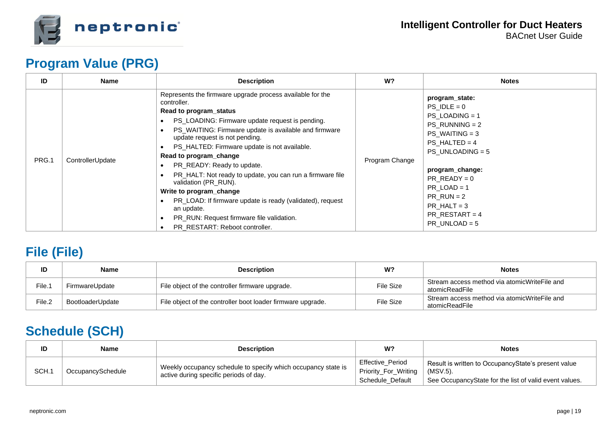

### **Program Value (PRG)**

| ID    | Name             | <b>Description</b>                                                                                                                                                                                                                                                                                                                                                                                                                                                                                                                                                                                                                   | W?             | <b>Notes</b>                                                                                                                                                                                                                                                                  |
|-------|------------------|--------------------------------------------------------------------------------------------------------------------------------------------------------------------------------------------------------------------------------------------------------------------------------------------------------------------------------------------------------------------------------------------------------------------------------------------------------------------------------------------------------------------------------------------------------------------------------------------------------------------------------------|----------------|-------------------------------------------------------------------------------------------------------------------------------------------------------------------------------------------------------------------------------------------------------------------------------|
| PRG.1 | ControllerUpdate | Represents the firmware upgrade process available for the<br>controller.<br>Read to program_status<br>• PS_LOADING: Firmware update request is pending.<br>PS_WAITING: Firmware update is available and firmware<br>update request is not pending.<br>PS_HALTED: Firmware update is not available.<br>Read to program change<br>PR_READY: Ready to update.<br>PR_HALT: Not ready to update, you can run a firmware file<br>validation (PR_RUN).<br>Write to program change<br>PR_LOAD: If firmware update is ready (validated), request<br>an update.<br>PR_RUN: Request firmware file validation.<br>PR RESTART: Reboot controller. | Program Change | program_state:<br>$PS$ IDLE = 0<br>$PS$ LOADING = 1<br>$PS_RUNNING = 2$<br>$PS$ WAITING = 3<br>$PS$ HALTED = 4<br>$PS$ UNLOADING = 5<br>program_change:<br>$PR$ READY = 0<br>$PR$ LOAD = 1<br>$PR$ RUN = 2<br>$PR$ HALT = 3<br>$PR$ <sub>RESTART</sub> = 4<br>PR UNLOAD = $5$ |

## **File (File)**

| ID     | <b>Name</b>      | <b>Description</b>                                          | W?        | <b>Notes</b>                                                   |
|--------|------------------|-------------------------------------------------------------|-----------|----------------------------------------------------------------|
| File.1 | FirmwareUpdate   | File object of the controller firmware upgrade.             | File Size | Stream access method via atomicWriteFile and<br>atomicReadFile |
| File.2 | BootloaderUpdate | File object of the controller boot loader firmware upgrade. | File Size | Stream access method via atomicWriteFile and<br>atomicReadFile |

### **Schedule (SCH)**

| ID    | <b>Name</b>       | <b>Description</b>                                                                                      | W?                                                                  | <b>Notes</b>                                                                                                              |
|-------|-------------------|---------------------------------------------------------------------------------------------------------|---------------------------------------------------------------------|---------------------------------------------------------------------------------------------------------------------------|
| SCH.1 | OccupancySchedule | Weekly occupancy schedule to specify which occupancy state is<br>active during specific periods of day. | <b>Effective Period</b><br>Priority_For_Writing<br>Schedule_Default | Result is written to OccupancyState's present value<br>(MSV.5).<br>See OccupancyState for the list of valid event values. |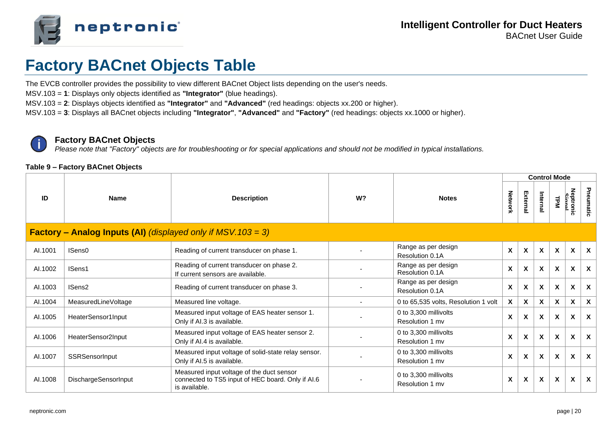

## **Factory BACnet Objects Table**

The EVCB controller provides the possibility to view different BACnet Object lists depending on the user's needs.

MSV.103 = **1**: Displays only objects identified as **"Integrator"** (blue headings).

MSV.103 = **2**: Displays objects identified as **"Integrator"** and **"Advanced"** (red headings: objects xx.200 or higher).

MSV.103 = **3**: Displays all BACnet objects including **"Integrator"**, **"Advanced"** and **"Factory"** (red headings: objects xx.1000 or higher).

#### **Factory BACnet Objects**

*Please note that "Factory" objects are for troubleshooting or for special applications and should not be modified in typical installations.*

#### **Table 9 – Factory BACnet Objects**

|         |                                                                        |                                                                                                                 |    |                                          |                           |                  | <b>Control Mode</b>       |              |                    |                           |
|---------|------------------------------------------------------------------------|-----------------------------------------------------------------------------------------------------------------|----|------------------------------------------|---------------------------|------------------|---------------------------|--------------|--------------------|---------------------------|
| ID      | <b>Name</b>                                                            | <b>Description</b>                                                                                              | W? | <b>Notes</b>                             |                           | External         | Internal                  | <b>LPM</b>   | Neptronic<br>Simal | Pneumatic                 |
|         | <b>Factory – Analog Inputs (AI)</b> (displayed only if $MSV.103 = 3$ ) |                                                                                                                 |    |                                          |                           |                  |                           |              |                    |                           |
| AI.1001 | ISens0                                                                 | Reading of current transducer on phase 1.                                                                       |    | Range as per design<br>Resolution 0.1A   | $\boldsymbol{\mathsf{x}}$ | $\boldsymbol{x}$ | $\mathbf x$               | $\mathbf{x}$ | X                  | $\boldsymbol{\mathsf{x}}$ |
| AI.1002 | ISens1                                                                 | Reading of current transducer on phase 2.<br>If current sensors are available.                                  |    | Range as per design<br>Resolution 0.1A   | X                         | X                | $\boldsymbol{\mathsf{x}}$ | X            | X                  | $\boldsymbol{\mathsf{x}}$ |
| AI.1003 | ISens <sub>2</sub>                                                     | Reading of current transducer on phase 3.                                                                       |    | Range as per design<br>Resolution 0.1A   | X                         | X                | X                         | X            | X                  | $\mathbf{x}$              |
| AI.1004 | MeasuredLineVoltage                                                    | Measured line voltage.                                                                                          |    | 0 to 65,535 volts, Resolution 1 volt     | X                         | $\mathsf{x}$     | $\boldsymbol{\mathsf{x}}$ | X            | X                  | $\boldsymbol{\mathsf{x}}$ |
| AI.1005 | HeaterSensor1Input                                                     | Measured input voltage of EAS heater sensor 1.<br>Only if AI.3 is available.                                    |    | 0 to 3,300 millivolts<br>Resolution 1 mv | X                         | X                | $\boldsymbol{\mathsf{x}}$ | X            | X                  | $\mathbf{x}$              |
| AI.1006 | HeaterSensor2Input                                                     | Measured input voltage of EAS heater sensor 2.<br>Only if AI.4 is available.                                    |    | 0 to 3,300 millivolts<br>Resolution 1 mv | X                         | X                | $\boldsymbol{\mathsf{x}}$ | X            | X                  | $\boldsymbol{\mathsf{x}}$ |
| AI.1007 | SSRSensorInput                                                         | Measured input voltage of solid-state relay sensor.<br>Only if AI.5 is available.                               |    | 0 to 3,300 millivolts<br>Resolution 1 mv | X                         | X                | $\boldsymbol{\mathsf{x}}$ | X            | X                  | $\mathbf{x}$              |
| AI.1008 | DischargeSensorInput                                                   | Measured input voltage of the duct sensor<br>connected to TS5 input of HEC board. Only if AI.6<br>is available. |    | 0 to 3,300 millivolts<br>Resolution 1 mv | X                         | X                | $\boldsymbol{\mathsf{X}}$ | X            | X                  | $\mathbf{x}$              |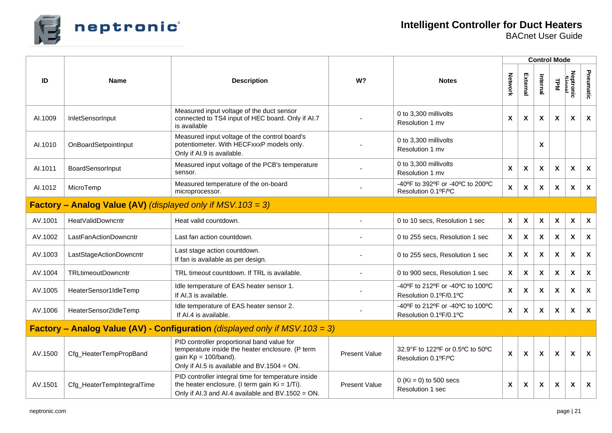

|         |                                                                       |                                                                                                                                                                          |                      |                                                            | <b>Control Mode</b>       |                           |                           |                           |                           |                           |
|---------|-----------------------------------------------------------------------|--------------------------------------------------------------------------------------------------------------------------------------------------------------------------|----------------------|------------------------------------------------------------|---------------------------|---------------------------|---------------------------|---------------------------|---------------------------|---------------------------|
| ID      | <b>Name</b>                                                           | <b>Description</b>                                                                                                                                                       | W?                   | <b>Notes</b>                                               | Network                   | External                  | Internal                  | <b>TPM</b>                | Neptronic<br>Simal        | Pneumatic                 |
| AI.1009 | InletSensorInput                                                      | Measured input voltage of the duct sensor<br>connected to TS4 input of HEC board. Only if Al.7<br>is available                                                           |                      | 0 to 3,300 millivolts<br>Resolution 1 mv                   | X                         | X                         | X                         | $\boldsymbol{\mathsf{X}}$ | X                         | $\boldsymbol{\mathsf{X}}$ |
| AI.1010 | OnBoardSetpointInput                                                  | Measured input voltage of the control board's<br>potentiometer. With HECFxxxP models only.<br>Only if AI.9 is available.                                                 |                      | 0 to 3,300 millivolts<br>Resolution 1 mv                   |                           |                           | X                         |                           |                           |                           |
| AI.1011 | BoardSensorInput                                                      | Measured input voltage of the PCB's temperature<br>sensor.                                                                                                               |                      | 0 to 3,300 millivolts<br>Resolution 1 mv                   | X                         | X                         | X                         | X                         | X                         | $\boldsymbol{\mathsf{x}}$ |
| AI.1012 | MicroTemp                                                             | Measured temperature of the on-board<br>microprocessor.                                                                                                                  |                      | -40°F to 392°F or -40°C to 200°C<br>Resolution 0.1ºF/°C    | X                         | X                         | $\mathsf{x}$              | $\mathbf{x}$              | $\boldsymbol{\mathsf{x}}$ | $\boldsymbol{\mathsf{x}}$ |
|         | <b>Factory – Analog Value (AV)</b> (displayed only if $MSV.103 = 3$ ) |                                                                                                                                                                          |                      |                                                            |                           |                           |                           |                           |                           |                           |
| AV.1001 | HeatValidDowncntr                                                     | Heat valid countdown.                                                                                                                                                    |                      | 0 to 10 secs, Resolution 1 sec                             | $\pmb{\chi}$              | $\pmb{\chi}$              | $\pmb{\mathsf{X}}$        | $\boldsymbol{\mathsf{X}}$ | $\boldsymbol{\mathsf{X}}$ | $\boldsymbol{\mathsf{X}}$ |
| AV.1002 | LastFanActionDowncntr                                                 | Last fan action countdown.                                                                                                                                               |                      | 0 to 255 secs, Resolution 1 sec                            | $\mathbf{x}$              | X                         | $\boldsymbol{\mathsf{x}}$ | $\mathbf{x}$              | $\boldsymbol{\mathsf{x}}$ | $\boldsymbol{\mathsf{x}}$ |
| AV.1003 | LastStageActionDowncntr                                               | Last stage action countdown.<br>If fan is available as per design.                                                                                                       |                      | 0 to 255 secs, Resolution 1 sec                            | $\boldsymbol{\mathsf{X}}$ | X                         | X                         | X                         | X                         | $\boldsymbol{\mathsf{X}}$ |
| AV.1004 | <b>TRLtimeoutDowncntr</b>                                             | TRL timeout countdown. If TRL is available.                                                                                                                              |                      | 0 to 900 secs, Resolution 1 sec                            | X                         | X                         | $\boldsymbol{\mathsf{x}}$ | $\mathsf{x}$              | X                         | $\boldsymbol{\mathsf{X}}$ |
| AV.1005 | HeaterSensor1IdleTemp                                                 | Idle temperature of EAS heater sensor 1.<br>If AI.3 is available.                                                                                                        |                      | -40°F to 212°F or -40°C to 100°C<br>Resolution 0.1ºF/0.1°C | $\boldsymbol{\mathsf{X}}$ | $\boldsymbol{\mathsf{X}}$ | X                         | $\boldsymbol{\mathsf{X}}$ | $\boldsymbol{\mathsf{X}}$ | $\boldsymbol{\mathsf{X}}$ |
| AV.1006 | HeaterSensor2IdleTemp                                                 | Idle temperature of EAS heater sensor 2.<br>If AI.4 is available.                                                                                                        |                      | -40°F to 212°F or -40°C to 100°C<br>Resolution 0.1ºF/0.1ºC | $\boldsymbol{\mathsf{X}}$ | $\boldsymbol{\mathsf{X}}$ | X                         | $\mathsf{x}$              | X                         | $\boldsymbol{\mathsf{x}}$ |
|         |                                                                       | <b>Factory – Analog Value (AV) - Configuration</b> (displayed only if MSV. $103 = 3$ )                                                                                   |                      |                                                            |                           |                           |                           |                           |                           |                           |
| AV.1500 | Cfg_HeaterTempPropBand                                                | PID controller proportional band value for<br>temperature inside the heater enclosure. (P term<br>gain $Kp = 100/b$ and).<br>Only if Al.5 is available and BV.1504 = ON. | <b>Present Value</b> | 32.9°F to 122°F or 0.5°C to 50°C<br>Resolution 0.1ºF/ºC    | $\boldsymbol{\mathsf{x}}$ | $\boldsymbol{\mathsf{X}}$ | $\boldsymbol{\mathsf{X}}$ | X                         | $\boldsymbol{\mathsf{X}}$ | $\boldsymbol{\mathsf{X}}$ |
| AV.1501 | Cfg_HeaterTempIntegralTime                                            | PID controller integral time for temperature inside<br>the heater enclosure. (I term gain $Ki = 1/Ti$ ).<br>Only if Al.3 and Al.4 available and BV.1502 = ON.            | <b>Present Value</b> | 0 (Ki = 0) to 500 secs<br>Resolution 1 sec                 | X                         | X                         | X                         | X                         | X                         | $\boldsymbol{\mathsf{x}}$ |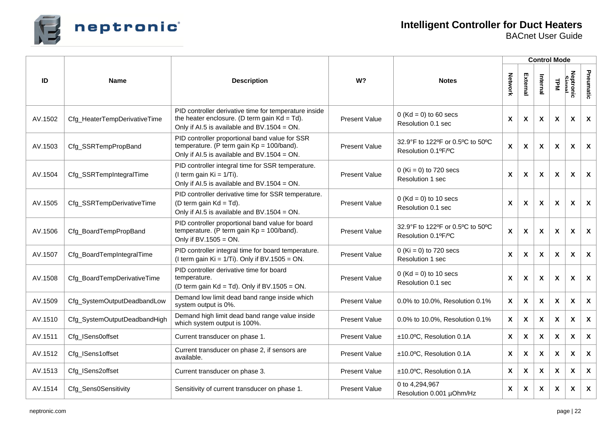

|         |                              |                                                                                                                                                            |                      |                                                         |              |                           |                           | <b>Control Mode</b>       |                    |                           |
|---------|------------------------------|------------------------------------------------------------------------------------------------------------------------------------------------------------|----------------------|---------------------------------------------------------|--------------|---------------------------|---------------------------|---------------------------|--------------------|---------------------------|
| ID      | <b>Name</b>                  | W <sub>2</sub><br><b>Description</b>                                                                                                                       |                      | <b>Notes</b>                                            |              | External                  | Internal                  | <b>TPM</b>                | Neptronic<br>Simal | Pneumatic                 |
| AV.1502 | Cfg_HeaterTempDerivativeTime | PID controller derivative time for temperature inside<br>the heater enclosure. (D term gain $Kd = Td$ ).<br>Only if Al.5 is available and $BV.1504 = ON$ . | <b>Present Value</b> | $0$ (Kd = 0) to 60 secs<br>Resolution 0.1 sec           |              | $\boldsymbol{\mathsf{x}}$ | X                         | X                         | X                  | $\mathbf{x}$              |
| AV.1503 | Cfg_SSRTempPropBand          | PID controller proportional band value for SSR<br>temperature. (P term gain $Kp = 100/b$ and).<br>Only if Al.5 is available and $BV.1504 = ON$ .           | <b>Present Value</b> | 32.9°F to 122°F or 0.5°C to 50°C<br>Resolution 0.1ºF/ºC |              | X                         | $\pmb{\mathsf{X}}$        | X                         | X                  | $\mathsf{x}$              |
| AV.1504 | Cfg_SSRTempIntegralTime      | PID controller integral time for SSR temperature.<br>(I term gain $Ki = 1/Ti$ ).<br>Only if Al.5 is available and $BV.1504 = ON$ .                         | <b>Present Value</b> | $0$ (Ki = 0) to 720 secs<br>Resolution 1 sec            |              | $\boldsymbol{\mathsf{X}}$ | $\boldsymbol{\mathsf{x}}$ | X                         | $\pmb{\chi}$       | $\mathsf{x}$              |
| AV.1505 | Cfg_SSRTempDerivativeTime    | PID controller derivative time for SSR temperature.<br>(D term gain $Kd = Td$ ).<br>Only if Al.5 is available and BV.1504 = ON.                            | <b>Present Value</b> | $0$ (Kd = 0) to 10 secs<br>Resolution 0.1 sec           |              | X                         | X                         | X                         | X                  | X                         |
| AV.1506 | Cfg_BoardTempPropBand        | PID controller proportional band value for board<br>temperature. (P term gain $Kp = 100/b$ and).<br>Only if $BV.1505 = ON$ .                               | <b>Present Value</b> | 32.9°F to 122°F or 0.5°C to 50°C<br>Resolution 0.1ºF/ºC |              | X                         | X                         | X                         | X                  | X                         |
| AV.1507 | Cfg_BoardTempIntegralTime    | PID controller integral time for board temperature.<br>(I term gain $Ki = 1/Ti$ ). Only if BV.1505 = ON.                                                   | <b>Present Value</b> | $0$ (Ki = 0) to 720 secs<br>Resolution 1 sec            |              | $\boldsymbol{\mathsf{X}}$ | $\boldsymbol{\mathsf{X}}$ | X                         | X                  | $\boldsymbol{\mathsf{X}}$ |
| AV.1508 | Cfg_BoardTempDerivativeTime  | PID controller derivative time for board<br>temperature.<br>(D term gain $Kd = Td$ ). Only if BV.1505 = ON.                                                | <b>Present Value</b> | $0$ (Kd = 0) to 10 secs<br>Resolution 0.1 sec           |              | X                         | X                         | X                         | X                  | $\boldsymbol{\mathsf{x}}$ |
| AV.1509 | Cfg_SystemOutputDeadbandLow  | Demand low limit dead band range inside which<br>system output is 0%.                                                                                      | <b>Present Value</b> | 0.0% to 10.0%, Resolution 0.1%                          | X            | $\boldsymbol{\mathsf{x}}$ | $\boldsymbol{\mathsf{X}}$ | X                         | X                  | $\boldsymbol{\mathsf{x}}$ |
| AV.1510 | Cfg_SystemOutputDeadbandHigh | Demand high limit dead band range value inside<br>which system output is 100%.                                                                             | <b>Present Value</b> | 0.0% to 10.0%, Resolution 0.1%                          | X            | $\boldsymbol{\mathsf{x}}$ | $\boldsymbol{\mathsf{x}}$ | X                         | X                  | $\boldsymbol{\mathsf{x}}$ |
| AV.1511 | Cfg_ISens0offset             | Current transducer on phase 1.                                                                                                                             | <b>Present Value</b> | ±10.0°C, Resolution 0.1A                                | X            | $\boldsymbol{\mathsf{X}}$ | $\boldsymbol{\mathsf{X}}$ | X                         | X                  | $\boldsymbol{\mathsf{X}}$ |
| AV.1512 | Cfg_ISens1offset             | Current transducer on phase 2, if sensors are<br>available.                                                                                                | <b>Present Value</b> | ±10.0°C, Resolution 0.1A                                | X            | X                         | X                         | X                         | X                  | $\mathbf{x}$              |
| AV.1513 | Cfg_ISens2offset             | Current transducer on phase 3.                                                                                                                             | <b>Present Value</b> | ±10.0°C, Resolution 0.1A                                | $\mathsf{x}$ | $\boldsymbol{\mathsf{X}}$ | X                         | $\boldsymbol{\mathsf{x}}$ | $\pmb{\chi}$       | X                         |
| AV.1514 | Cfg_Sens0Sensitivity         | Sensitivity of current transducer on phase 1.                                                                                                              | <b>Present Value</b> | 0 to 4,294,967<br>Resolution 0.001 µOhm/Hz              | X            | X                         | X                         | X                         | X                  | $\boldsymbol{\mathsf{X}}$ |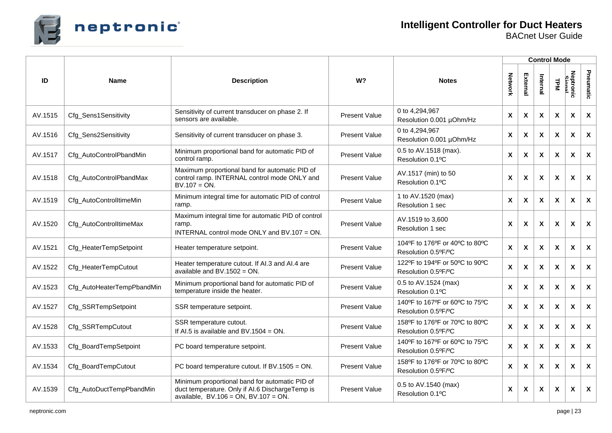

|         |                            |                                                                                                                                                 |                                                                               |                                                                  | <b>Control Mode</b>       |              |              |                           |                    |                           |
|---------|----------------------------|-------------------------------------------------------------------------------------------------------------------------------------------------|-------------------------------------------------------------------------------|------------------------------------------------------------------|---------------------------|--------------|--------------|---------------------------|--------------------|---------------------------|
| ID      | <b>Name</b>                | <b>Description</b>                                                                                                                              | W?                                                                            | <b>Notes</b>                                                     | Network                   | Externa      | Internal     | <b>LPM</b>                | Neptronic<br>Simal | Pneumatic                 |
| AV.1515 | Cfg_Sens1Sensitivity       | Sensitivity of current transducer on phase 2. If<br>sensors are available.                                                                      | <b>Present Value</b>                                                          | 0 to 4,294,967<br>Resolution 0.001 µOhm/Hz                       |                           | X            | X            | $\boldsymbol{\mathsf{x}}$ | X                  | $\boldsymbol{\mathsf{x}}$ |
| AV.1516 | Cfg_Sens2Sensitivity       | Sensitivity of current transducer on phase 3.                                                                                                   | <b>Present Value</b>                                                          | 0 to 4,294,967<br>$\pmb{\mathsf{X}}$<br>Resolution 0.001 µOhm/Hz |                           | $\pmb{\chi}$ | X            | X                         | $\pmb{\chi}$       | $\boldsymbol{\mathsf{X}}$ |
| AV.1517 | Cfg_AutoControlPbandMin    | Minimum proportional band for automatic PID of<br>control ramp.                                                                                 | <b>Present Value</b>                                                          | 0.5 to AV.1518 (max).<br>$\pmb{\mathsf{X}}$<br>Resolution 0.1°C  |                           | X            | X            | $\mathsf{x}$              | X                  | $\boldsymbol{\mathsf{X}}$ |
| AV.1518 | Cfg_AutoControlPbandMax    | Maximum proportional band for automatic PID of<br>control ramp. INTERNAL control mode ONLY and<br>$BV.107 = ON.$                                | AV.1517 (min) to 50<br><b>Present Value</b><br>Resolution 0.1°C               |                                                                  | X                         | X            | X            | $\boldsymbol{\mathsf{x}}$ | X                  | $\boldsymbol{\mathsf{X}}$ |
| AV.1519 | Cfg_AutoControlltimeMin    | Minimum integral time for automatic PID of control<br>ramp.                                                                                     | <b>Present Value</b>                                                          | 1 to AV.1520 (max)<br>Resolution 1 sec                           |                           | X            | X            | $\boldsymbol{\mathsf{x}}$ | X                  | $\boldsymbol{\mathsf{X}}$ |
| AV.1520 | Cfg_AutoControlltimeMax    | Maximum integral time for automatic PID of control<br>ramp.<br>INTERNAL control mode ONLY and BV.107 = ON.                                      | <b>Present Value</b>                                                          | AV.1519 to 3,600<br>Resolution 1 sec                             |                           | X            | X            | $\boldsymbol{\mathsf{x}}$ | X                  | $\boldsymbol{\mathsf{X}}$ |
| AV.1521 | Cfg_HeaterTempSetpoint     | Heater temperature setpoint.                                                                                                                    | 104°F to 176°F or 40°C to 80°C<br><b>Present Value</b><br>Resolution 0.5°F/°C |                                                                  | $\boldsymbol{\mathsf{x}}$ | X            | X            | X                         | X                  | $\boldsymbol{\mathsf{X}}$ |
| AV.1522 | Cfg_HeaterTempCutout       | Heater temperature cutout. If AI.3 and AI.4 are<br>available and $BV.1502 = ON$ .                                                               | 122°F to 194°F or 50°C to 90°C<br><b>Present Value</b><br>Resolution 0.5°F/°C |                                                                  | $\pmb{\mathsf{X}}$        | X            | X            | X                         | X                  | $\boldsymbol{\mathsf{x}}$ |
| AV.1523 | Cfg_AutoHeaterTempPbandMin | Minimum proportional band for automatic PID of<br>temperature inside the heater.                                                                | 0.5 to AV.1524 (max)<br><b>Present Value</b><br>Resolution 0.1°C              |                                                                  | $\pmb{\mathsf{X}}$        | X            | X            | X                         | X                  | $\mathbf{x}$              |
| AV.1527 | Cfg_SSRTempSetpoint        | SSR temperature setpoint.                                                                                                                       | 140°F to 167°F or 60°C to 75°C<br><b>Present Value</b><br>Resolution 0.5°F/°C |                                                                  | $\pmb{\mathsf{X}}$        | X            | $\mathsf{x}$ | $\boldsymbol{\mathsf{x}}$ | X                  | $\mathbf{x}$              |
| AV.1528 | Cfg_SSRTempCutout          | SSR temperature cutout.<br>If AI.5 is available and $BV.1504 = ON$ .                                                                            | <b>Present Value</b>                                                          | 158°F to 176°F or 70°C to 80°C<br>Resolution 0.5°F/°C            | $\pmb{\mathsf{X}}$        | X            | X            | X                         | X                  | $\boldsymbol{\mathsf{X}}$ |
| AV.1533 | Cfg_BoardTempSetpoint      | PC board temperature setpoint.                                                                                                                  | 140°F to 167°F or 60°C to 75°C<br><b>Present Value</b><br>Resolution 0.5°F/°C |                                                                  | X                         | X            | X            | $\mathsf{x}$              | X                  | $\mathbf{x}$              |
| AV.1534 | Cfg_BoardTempCutout        | PC board temperature cutout. If BV.1505 = ON.                                                                                                   | 158ºF to 176ºF or 70°C to 80°C<br><b>Present Value</b><br>Resolution 0.5°F/°C |                                                                  | X                         | X            | X            | $\boldsymbol{\mathsf{x}}$ | X                  | $\boldsymbol{\mathsf{x}}$ |
| AV.1539 | Cfg_AutoDuctTempPbandMin   | Minimum proportional band for automatic PID of<br>duct temperature. Only if AI.6 DischargeTemp is<br>available, $BV.106 = ON$ , $BV.107 = ON$ . | <b>Present Value</b>                                                          | 0.5 to AV.1540 (max)<br>Resolution 0.1°C                         | X                         | X            | X            | $\boldsymbol{\mathsf{x}}$ | X                  | $\boldsymbol{\mathsf{x}}$ |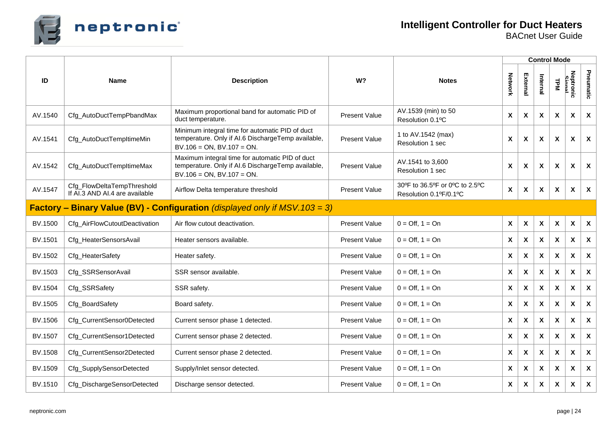

|         |                                                                                                  |                                                                                                                                          |                      |                                                                     |                    |          |                           | <b>Control Mode</b>       |                           |                           |
|---------|--------------------------------------------------------------------------------------------------|------------------------------------------------------------------------------------------------------------------------------------------|----------------------|---------------------------------------------------------------------|--------------------|----------|---------------------------|---------------------------|---------------------------|---------------------------|
| ID      | <b>Name</b>                                                                                      | <b>Description</b>                                                                                                                       | W?                   | <b>Notes</b>                                                        | Network            | External | Internal                  | <b>TPM</b>                | Neptronic<br>Simal        | Pneumatic                 |
| AV.1540 | Cfg_AutoDuctTempPbandMax                                                                         | Maximum proportional band for automatic PID of<br>duct temperature.                                                                      | <b>Present Value</b> | AV.1539 (min) to 50<br>Resolution 0.1°C                             |                    | X        | X                         | X                         | X                         | $\mathsf{x}$              |
| AV.1541 | Cfg_AutoDuctTempltimeMin                                                                         | Minimum integral time for automatic PID of duct<br>temperature. Only if AI.6 DischargeTemp available,<br>$BV.106 = ON$ , $BV.107 = ON$ . | <b>Present Value</b> | 1 to AV.1542 (max)<br>$\pmb{\mathsf{X}}$<br><b>Resolution 1 sec</b> |                    | X        | X                         | $\boldsymbol{\mathsf{x}}$ | X                         | $\mathsf{x}$              |
| AV.1542 | Cfg_AutoDuctTempItimeMax                                                                         | Maximum integral time for automatic PID of duct<br>temperature. Only if AI.6 DischargeTemp available,<br>$BV.106 = ON$ , $BV.107 = ON$ . | <b>Present Value</b> | AV.1541 to 3,600<br>Resolution 1 sec                                |                    | X        | X                         | $\boldsymbol{\mathsf{x}}$ | X                         | $\mathbf{x}$              |
| AV.1547 | Cfg_FlowDeltaTempThreshold<br>If AI.3 AND AI.4 are available                                     | Airflow Delta temperature threshold                                                                                                      | <b>Present Value</b> | 30°F to 36.5°F or 0°C to 2.5°C<br>Resolution 0.1ºF/0.1°C            |                    | X        | X                         | X                         | X                         | $\boldsymbol{\mathsf{x}}$ |
|         | <b>Factory – Binary Value (BV) - Configuration</b> (displayed only if $\overline{MSV}.103 = 3$ ) |                                                                                                                                          |                      |                                                                     |                    |          |                           |                           |                           |                           |
| BV.1500 | Cfg_AirFlowCutoutDeactivation                                                                    | Air flow cutout deactivation.                                                                                                            | <b>Present Value</b> | $0 = \text{Off}, 1 = \text{On}$                                     | $\pmb{\mathsf{X}}$ | X        | X                         | X                         | $\pmb{\chi}$              | $\mathsf{x}$              |
| BV.1501 | Cfg_HeaterSensorsAvail                                                                           | Heater sensors available.                                                                                                                | <b>Present Value</b> | $0 = \text{Off}, 1 = \text{On}$                                     | X                  | X        | $\boldsymbol{\mathsf{x}}$ | $\mathsf{x}$              | $\boldsymbol{\mathsf{X}}$ | $\mathbf{x}$              |
| BV.1502 | Cfg_HeaterSafety                                                                                 | Heater safety.                                                                                                                           | <b>Present Value</b> | $0 = \text{Off}, 1 = \text{On}$                                     | $\pmb{\mathsf{X}}$ | X        | X                         | X                         | X                         | $\mathbf{x}$              |
| BV.1503 | Cfg_SSRSensorAvail                                                                               | SSR sensor available.                                                                                                                    | <b>Present Value</b> | $0 = \text{Off}, 1 = \text{On}$                                     | $\pmb{\mathsf{X}}$ | X        | X                         | X                         | X                         | $\boldsymbol{\mathsf{X}}$ |
| BV.1504 | Cfg_SSRSafety                                                                                    | SSR safety.                                                                                                                              | <b>Present Value</b> | $0 = \text{Off}, 1 = \text{On}$                                     | X                  | X        | X                         | $\boldsymbol{\mathsf{x}}$ | X                         | $\mathbf{x}$              |
| BV.1505 | Cfg_BoardSafety                                                                                  | Board safety.                                                                                                                            | <b>Present Value</b> | $0 = \text{Off}$ . 1 = $\text{On}$                                  | X                  | X        | X                         | X                         | X                         | X                         |
| BV.1506 | Cfg_CurrentSensor0Detected                                                                       | Current sensor phase 1 detected.                                                                                                         | <b>Present Value</b> | $0 = \text{Off}, 1 = \text{On}$                                     | X                  | X        | X                         | X                         | X                         | $\boldsymbol{\mathsf{X}}$ |
| BV.1507 | Cfg_CurrentSensor1Detected                                                                       | Current sensor phase 2 detected.                                                                                                         | <b>Present Value</b> | $0 = \text{Off}, 1 = \text{On}$                                     | X                  | X        | X                         | X                         | X                         | X                         |
| BV.1508 | Cfg_CurrentSensor2Detected                                                                       | Current sensor phase 2 detected.                                                                                                         | <b>Present Value</b> | $0 = \text{Off}, 1 = \text{On}$                                     | X                  | X        | $\mathsf{x}$              | $\mathbf{x}$              | $\boldsymbol{\mathsf{x}}$ | $\mathbf{x}$              |
| BV.1509 | Cfg_SupplySensorDetected                                                                         | Supply/Inlet sensor detected.                                                                                                            | <b>Present Value</b> | $0 = \text{Off}, 1 = \text{On}$                                     | X                  | X        | X                         | X                         | X                         | $\boldsymbol{\mathsf{x}}$ |
| BV.1510 | Cfg_DischargeSensorDetected                                                                      | Discharge sensor detected.                                                                                                               | <b>Present Value</b> | $0 = \text{Off}, 1 = \text{On}$                                     | $\pmb{\mathsf{X}}$ | X        | $\pmb{\mathsf{X}}$        | X                         | $\pmb{\chi}$              | $\boldsymbol{\mathsf{X}}$ |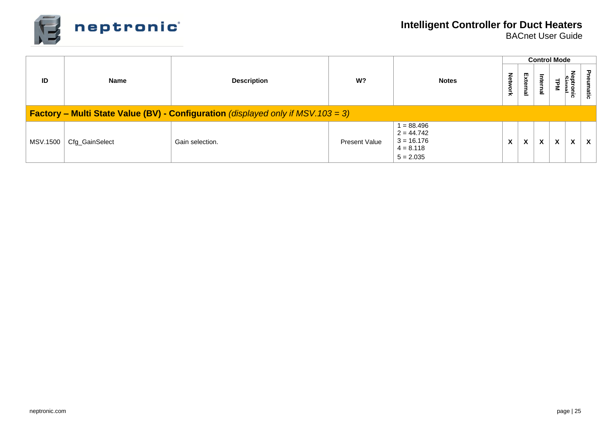

|                 |                                                                                             |                    |                      |                                                                            |   |          |          | <b>Control Mode</b> |                                         |                           |  |
|-----------------|---------------------------------------------------------------------------------------------|--------------------|----------------------|----------------------------------------------------------------------------|---|----------|----------|---------------------|-----------------------------------------|---------------------------|--|
| ID              | <b>Name</b>                                                                                 | <b>Description</b> | W?                   | <b>Notes</b>                                                               |   | External | Internal |                     | <b>Nep</b><br>$\Rightarrow$<br>°<br>ਨੋਂ | ᠊ᠣ<br>neumatic            |  |
|                 | <b>Factory – Multi State Value (BV) - Configuration</b> (displayed only if MSV. $103 = 3$ ) |                    |                      |                                                                            |   |          |          |                     |                                         |                           |  |
| <b>MSV.1500</b> | Cfg_GainSelect                                                                              | Gain selection.    | <b>Present Value</b> | $1 = 88.496$<br>$2 = 44.742$<br>$3 = 16.176$<br>$4 = 8.118$<br>$5 = 2.035$ | X | X        | X        | X                   | X                                       | $\boldsymbol{\mathsf{x}}$ |  |